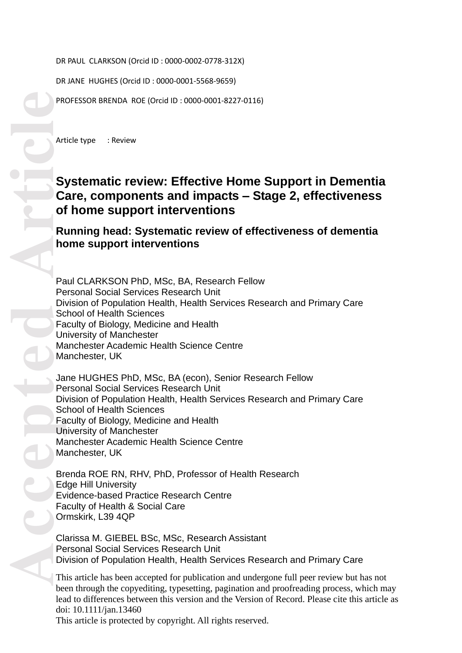DR PAUL CLARKSON (Orcid ID : 0000 -0002 -0778 -312X)

DR JANE HUGHES (Orcid ID : 0000 -0001 -5568 -9659)

PROFESSOR BRENDA ROE (Orcid ID: 0000-0001-8227-0116)

Article type : Review

# **Systematic review: Effective Home Support in Dementia Care, components and impacts – Stage 2, effectiveness of home support interventions**

# **Running head: Systematic review of effectiveness of dementia home support interventions**

Paul CLARKSON PhD, MSc, BA, Research Fellow Personal Social Services Research Unit Division of Population Health, Health Services Research and Primary Care School of Health Sciences Faculty of Biology, Medicine and Health University of Manchester Manchester Academic Health Science Centre Manchester, UK

Jane HUGHES PhD, MSc, BA (econ), Senior Research Fellow Personal Social Services Research Unit Division of Population Health, Health Services Research and Primary Care School of Health Sciences Faculty of Biology, Medicine and Health University of Manchester Manchester Academic Health Science Centre Manchester, UK

Brenda ROE RN, RHV, PhD, Professor of Health Research Edge Hill University Evidence -based Practice Research Centre Faculty of Health & Social Care Ormskirk, L39 4QP

Clarissa M. GIEBEL BSc, MSc, Research Assistant Personal Social Services Research Unit Division of Population Health, Health Services Research and Primary Care

This article has been accepted for publication and undergone full peer review but has not been through the copyediting, typesetting, pagination and proofreading process, which may lead to differences between this version and the Version of Record. Please cite this article as doi: 10.1111/jan.13460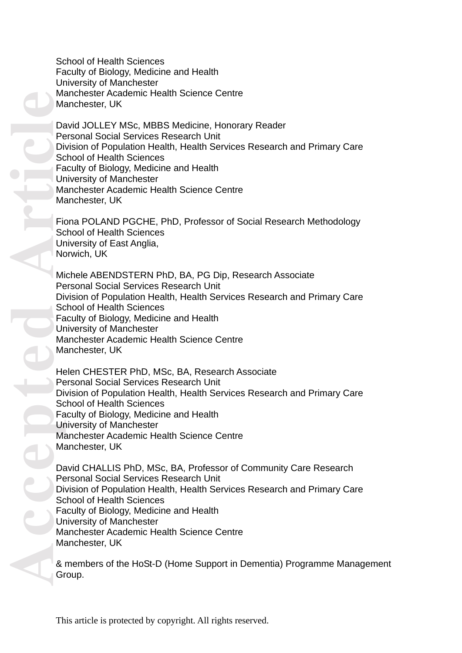School of Health Sciences Faculty of Biology, Medicine and Health University of Manchester Manchester Academic Health Science Centre Manchester, UK

David JOLLEY MSc, MBBS Medicine, Honorary Reader Personal Social Services Research Unit Division of Population Health, Health Services Research and Primary Care School of Health Sciences Faculty of Biology, Medicine and Health University of Manchester Manchester Academic Health Science Centre Manchester, UK

Fiona POLAND PGCHE, PhD, Professor of Social Research Methodology School of Health Sciences University of East Anglia, Norwich, UK

Michele ABENDSTERN PhD, BA, PG Dip, Research Associate Personal Social Services Research Unit Division of Population Health, Health Services Research and Primary Care School of Health Sciences Faculty of Biology, Medicine and Health University of Manchester Manchester Academic Health Science Centre Manchester, UK

Helen CHESTER PhD, MSc, BA, Research Associate Personal Social Services Research Unit Division of Population Health, Health Services Research and Primary Care School of Health Sciences Faculty of Biology, Medicine and Health University of Manchester Manchester Academic Health Science Centre Manchester, UK

David CHALLIS PhD, MSc, BA, Professor of Community Care Research Personal Social Services Research Unit Division of Population Health, Health Services Research and Primary Care School of Health Sciences Faculty of Biology, Medicine and Health University of Manchester Manchester Academic Health Science Centre Manchester, UK

& members of the HoSt -D (Home Support in Dementia) Programme Management Group.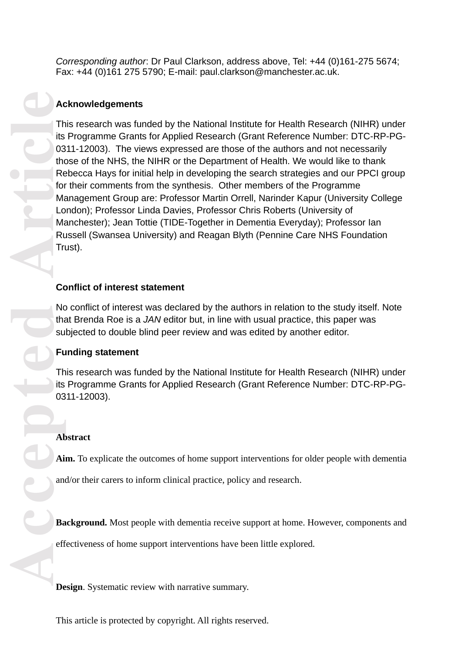*Corresponding author*: Dr Paul Clarkson, address above, Tel: +44 (0)161 -275 5674; Fax: +44 (0)161 275 5790; E -mail: [paul.clarkson@manchester.ac.uk.](mailto:paul.clarkson@manchester.ac.uk)

# **Acknowledgements**

Accepted **Accepted Articles Articles Articles Articles Articles Articles Articles Articles Articles are amount and Articles are amount Articles are effectively considered and Articles are effectively considered and** This research was funded by the National Institute for Health Research (NIHR) under its Programme Grants for Applied Research (Grant Reference Number: DTC-RP-PG-0311 -12003). The views expressed are those of the authors and not necessarily those of the NHS, the NIHR or the Department of Health. We would like to thank Rebecca Hays for initial help in developing the search strategies and our PPCI group for their comments from the synthesis. Other members of the Programme Management Group are: Professor Martin Orrell, Narinder Kapur (University College London); Professor Linda Davies, Professor Chris Roberts (University of Manchester); Jean Tottie (TIDE -Together in Dementia Everyday); Professor Ian Russell (Swansea University) and Reagan Blyth (Pennine Care NHS Foundation Trust).

# **Conflict of interest statement**

No conflict of interest was declared by the authors in relation to the study itself. Note that Brenda Roe is a *JAN* editor but, in line with usual practice, this paper was subjected to double blind peer review and was edited by another editor.

# **Funding statement**

This research was funded by the National Institute for Health Research (NIHR) under its Programme Grants for Applied Research (Grant Reference Number: DTC-RP-PG-0311 -12003).

# **Abstract**

**Aim.** To explicate the outcomes of home support interventions for older people with dementia

and/or their carers to inform clinical practice, policy and research.

**Background.** Most people with dementia receive support at home. However, components and

effectiveness of home support interventions have been little explored.

**Design**. Systematic review with narrative summary .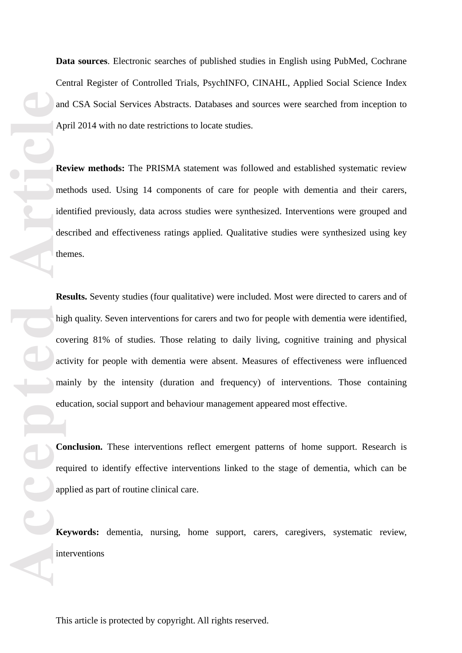Central Register of Controlled Trials, PsychINFO, CINAHL, Applied Social Science Index and CSA Social Services Abstracts. Databases and sources were searched from inception to April 2014 with no date restrictions to locate studies.

**Review methods:** The PRISMA statement was followed and established systematic review methods used. Using 14 components of care for people with dementia and their carers, identified previously, data across studies were synthesized . Interventions were grouped and described and effectiveness ratings applied. Qualitative studies were synthesized using key themes.

and Applement identical the Reduced of Reduced the Applement of Reduced the Article<br>
and Applement identical the Reduced of Reduced the Applement of Reduced the Article<br>
applement Reduced the Article **Data sources**. Electronic searches of published studies in English using PubMed, Coohrane<br>Central Register of Controlled Trials, PsychINFO, CINAHI, Applied Social Science Index<br>and CSA Social Services Abstracts. Databases **Results.** Seventy studies (four qualitative) were included. Most were directed to carers and of high quality. Seven interventions for carers and two for people with dementia were identified, covering 81% of studies. Those relating to daily living, cognitive training and physical activity for people with dementia were absent. Measures of effectiveness were influenced mainly by the intensity (duration and frequency) of interventions. Those containing education, social support and behaviour management appeared most effective.

**Conclusion.** These interventions reflect emergent patterns of home support. Research is required to identify effective interventions linked to the stage of dementia, which can be applied as part of routine clinical care.

**Keywords:** dementia, nursing, home support, carers, caregivers, systematic review, interventions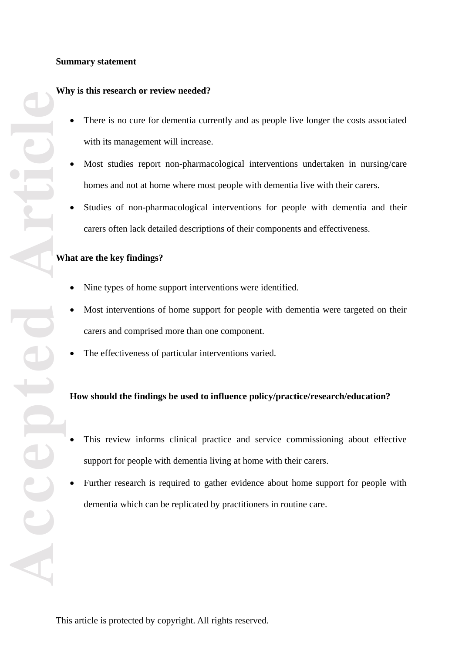## **Summary statement**

# **Why is this research or review needed?**

- There is no cure for dementia currently and as people live longer the costs associated with its management will increase.
- Most studies report non -pharmacological interventions undertaken in nursing/care homes and not at home where most people with dementia live with their carers.
- $\bullet$ Studies of non -pharmacological interventions for people with dementia and their carers often lack detailed description s of their components and effectiveness.

# **What are the key findings?**

- Nine types of home support interventions were identified.
- Most interventions of home support for people with dementia were targeted on their carers and comprised more than one component.
- $\bullet$ The effectiveness of particular interventions varied.

# **How should the findings be used to influence policy/practice/research/education?**

- This review informs clinical practice and service commissioning about effective support for people with dementia living at home with their carers.
- Further research is required to gather evidence about home support for people with dementia which can be replicated by practitioners in routine care.

**Accepted Article**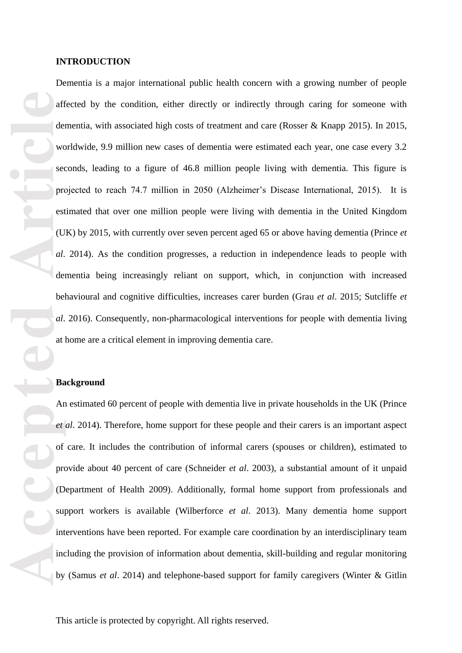#### **INTRODUCTION**

aff<br>
aff<br>
der<br>
wc<br>
sec<br>
pro<br>
est<br>
(U<br>
d.<br>
der<br>
bel<br>
d.<br>
der<br>
bel<br>
d.<br>
der<br>
bel<br>
d.<br>
at<br>
<br> **Ba**<br>
Article<br>
(D<br>
y proprovided not provided not provided not provided not provided not provided not<br>
provided not<br>
provided not<br>
p Dementia is a major international public health concern with a growing number of people affected by the condition, either directly or indirectly through caring for someone with dementia, with associated high costs of treatment and care (Rosser & Knapp 2015) . In 2015, worldwide, 9.9 million new cases of dementia were estimated each year, one case every 3.2 seconds, leading to a figure of 46.8 million people living with dementia. This figure is projected to reach 74.7 million in 2050 (Alzheimer's Disease International, 2015). It is estimated that over one million people were living with dementia in the United Kingdom (UK) by 2015, with currently over seven percent aged 65 or above having dementia (Prince *et al* . 2014). As the condition progresses, a reduction in independence leads to people with dementia being increasingly reliant on support, which, in conjunction with increased behavioural and cognitive difficulties, increases carer burden (Grau *et al*. 2015; Sutcliffe *et al* . 2016). Consequently, non -pharmacological interventions for people with dementia living at home are a critical element in improving dementia care.

#### **Background**

An estimated 60 percent of people with dementia liv e in private households in the UK (Prince *et al*. 2014). Therefore, home support for these people and their carers is an important aspect of care . It includes the contribution of informal carers (spouses or children), estimated to provide about 40 percent of care (Schneider *et al* . 2003), a substantial amount of it unpaid (Department of Health 2009) . Additionally, formal home support from professionals and support workers is available (Wilberforce *et al*. 2013) . Many dementia home support interventions have been reported. For example care coordination by an interdisciplinary team including the provision of information about dementia, skill -building and regular monitoring by (Samus *et al*. 2014) and telephone -based support for family caregivers (Winter & Gitlin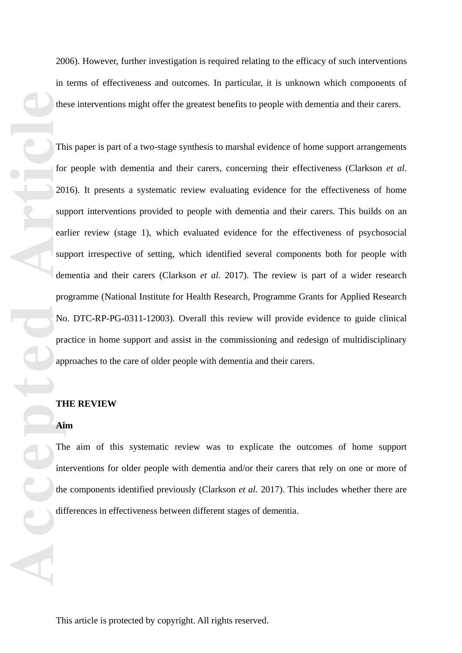the the contract of the contract of the contract of the contract of the contract of the contract of the difference of the contract of the difference of the contract of the difference of the contract of the contract of the

2006). However, further investigation is required relating to the efficacy of such interventions in terms of effectiveness and outcomes. In particular, it is unknown which components of these interventions might offer the greatest benefits to people with dementia and their carers.

This paper is part of a two-stage synthesis to marshal evidence of home support arrangements for people with dementia and their carers, concerning their effectiveness (Clarkson *et al*. 2016). It presents a systematic review evaluating evidence for the effectiveness of home support interventions provided to people with dementia and their carers. This builds on an earlier review (stage 1 ), which evaluated evidence for the effectiveness of psychosocial support irrespective of setting, which identified several components both for people with dementia and their carers (Clarkson *et al.* 2017). The review is part of a wider research programme (National Institute for Health Research, Programme Grants for Applied Research No. DTC -RP -PG -0311 -12003). Overall this review will provide evidence to guide clinical practice in home support and assist in the commissioning and redesign of multidisciplinary approaches to the care of older people with dementia and their carers.

## **THE REVIEW**

## **Aim**

The aim of this systematic review was to explicate the outcomes of home support interventions for older people with dementia and/or their carers that rely on one or more of the components identified previously (Clarkson *et al.* 2017 ) . This includes whether there are differences in effectiveness between different stages of dementia.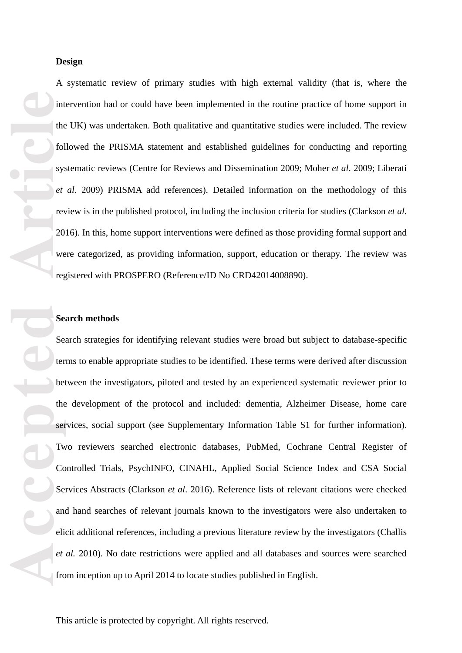#### **Design**

A systematic review of primary studies with high external validity (that is , where the intervention had or could have been implemented in the routine practice of home support in the UK ) was undertaken . Both qualitative and quantitative studies were included. The review followed the PRISMA statement and established guidelines for conducting and reporting systematic reviews (Centre for Reviews and Dissemination 2009; Moher *et al* . 2009; Liberati *et al* . 2009) PRISMA add refer ences). Detailed information on the methodology of this review is in the published protocol, including the inclusion criteria for studies (Clarkson *et al.* 2016). In this, home support interventions were defined as those providing formal support and were categorized, as providing information, support, education or therapy. The review was registered with PROSPERO (Reference/ID No CRD42014008890).

#### **Search methods**

**Accepted Article** Search strategies for identifying relevant studies were broad but subject to database -specific terms to enable appropriate studies to be identified. These terms were derived after discussion between the investigators , piloted and tested by an experienced systematic reviewer prior to the development of the protocol and included : dementia, Alzheimer Disease, home care services, social support (see Supplementary Information Table S1 for further information). Two reviewers searched electronic databases, PubMed, Cochrane Central Register of Controlled Trials, PsychINFO, CINAHL, Applied Social Science Index and CSA Social Services Abstracts (Clarkson *et al*. 2016 ) . Reference lists of relevant citations were checked and hand searches of relevant journals known to the investigators were also undertaken to elicit additional references, including a previous literature review by the investigators (Challis *et al.* 2010). No date restrictions were applied and all databases and sources were searched from inception up to April 2014 to locate studies published in English.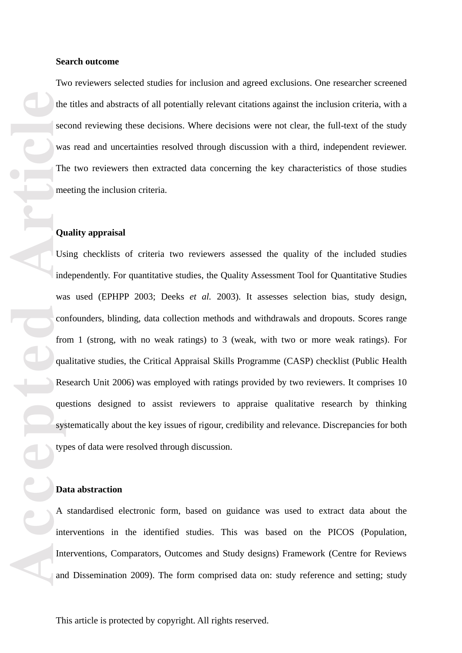#### **Search outcome**

Two reviewers selected studies for inclusion and agreed exclusions. One researcher screened the titles and abstracts of all potentially relevant citations against the inclusion criteria, with a second reviewing these decisions. Where decisions were not clear, the full-text of the study was read and uncertainties resolved through discussion with a third, independent reviewer. The two reviewers then extracted data concerning the key characteristics of those studies meeting the inclusion criteria.

#### **Quality appraisal**

the second was the second was the second was the second was the second was income of the second was the second was the second was the second was the second was the second was the second was the second was the second was th Using checklists of criteria two reviewers assessed the quality of the included studies independently. For quantitative studies, the Quality Assessment Tool for Quantitative Studies was used (EPHPP 2003; Deeks *et al.* 2003) . It assesses selection bias, study design, confounders, blinding, data collection methods and withdrawals and dropouts. Scores range from 1 (strong, with no weak ratings) to 3 (weak, with two or more weak ratings). For qualitative studies, the Critical Appraisal Skills Programme (CASP) checklist (Public Health Research Unit 2006) was employed with ratings provided by two reviewers . It comprises 10 questions designed to assist reviewers to appraise qualitative research by thinking systematically about the key issues of rigour, credibility and relevance. Discrepancies for both types of data were resolved through discussion.

## **Data abstraction**

A standardised electronic form, based on guidance was used to extract data about the interventions in the identified studies . This was based on the PICOS (Population, Interventions, Comparators, Outcomes and Study designs) Framework (Centre for Reviews and Dissemination 2009 ) . The form comprise d data on: study reference and setting; study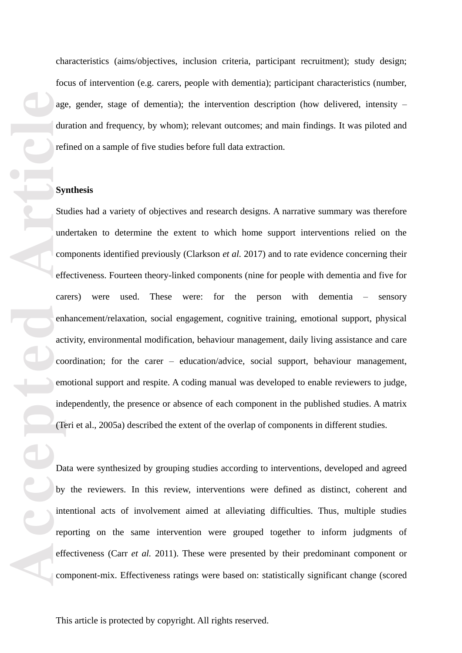characteristics (aims/objectives, inclusion criteria, participant recruitment); study design; focus of intervention (e.g. carers, people with dementia); participant characteristics (number, age, gender, stage of dementia); the intervention description (how delivered, intensity – duration and frequency, by whom); relevant outcomes; and main findings. It was piloted and refined on a sample of five studies before full data extraction.

#### **Synthesis**

age du ref du ref cal en act com eff cal by int ref eff com by int ref eff com com and com and com and com and com and com and com and com and com and com and com and com and com and com and com and com and com and com and Studies had a variety of objectives and research designs. A narrative summary was therefore undertaken to determine the extent to which home support interventions relied on the components identified previously (Clarkson *et al.* 2017) and to rate evidence concerning their effectiveness . Fourteen theory -linked components (nine for people with dementia and five for carers) were used These were: : for the person with dementia sensory enhancement/relaxation, social engagement, cognitive training, emotional support, physical activity, environmental modification, behaviour management, daily living assistance and care coordination; for the carer – education/advice, social support, behaviour management, emotional support and respite. A coding manual was developed to enable reviewers to judg e , independently , the presence or absence of each component in the published studies. A matrix (Teri et al., 2005 a) describe d the extent of the overlap of components in different studies .

Data were synthesized by grouping studies according to interventions , developed and agreed by the reviewers. In this review, interventions were defined as distinct, coherent and intentional acts of involvement aimed at alleviating difficulties. Thus, multiple studies reporting on the same intervention were grouped together to inform judgments of effectiveness (Carr *et al.* 2011). These were presented by their predominant component or component -mix . Effectiveness ratings were based on : statistically significant change (scored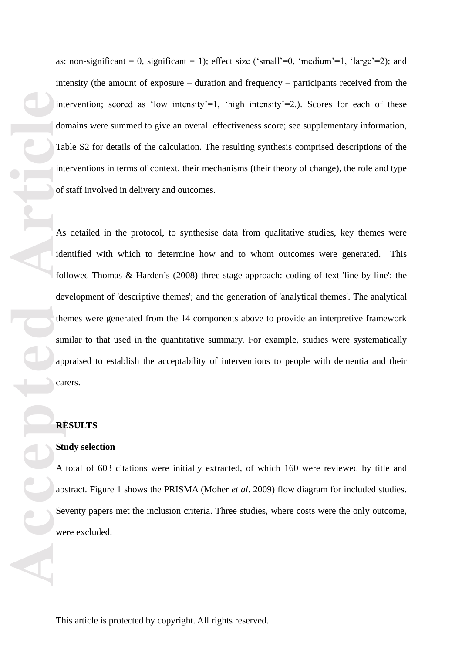as: non-significant = 0, significant = 1); effect size ('small'=0, 'medium'=1, 'large'=2); and intensity (the amount of exposur e – duration and frequency – participants received from the intervention; scored as 'low intensity'=1, 'high intensity'=2.). Scores for each of these domains were summed to give an overall effectiveness score; see supplementary information, Table S2 for details of the calculation . The resulting synthesis comprised descriptions of the interventions in terms of context, their mechanisms (their theory of change), the role and type of staff involved in delivery and outcomes.

int do Tai<br>
Int do Tai<br>
int of As<br>
ide fol de the sin<br>
app can<br> **RI**<br> **RI**<br> **RI**<br> **RI**<br> **RI**<br> **RI**<br> **RI**<br> **RI**<br> **RI**<br> **RI**<br> **RI**<br> **RI**<br> **RI**<br> **RI**<br> **RI**<br> **RI**<br> **RI**<br> **RI**<br> **RI**<br> **RI**<br> **RI**<br> **RI**<br> **RI**<br> **RI**<br> **RI**<br> **RI**<br> **R** As detailed in the protocol, to synthesise data from qualitative studies, key themes were identified with which to determine how and to whom outcomes were generated . This followed Thomas & Harden's (2008) three stage approach: coding of text 'line-by-line'; the development of 'descriptive themes'; and the generation of 'analytical themes'. The analytical themes were generated from the 14 components above to provide an interpretive framework similar to that used in the quantitative summary. For example, studies were systematically appraised to establish the acceptability of interventions to people with dementia and their carers .

## **RESULTS**

#### **Study selection**

A total of 603 citations were initially extracted, of which 160 were reviewed by title and abstract . Figure 1 shows the PRISMA (Moher *et al*. 2009) flow diagram for included studies. Seventy papers met the inclusion criteria. Three studies, where costs were the only outcome, were excluded .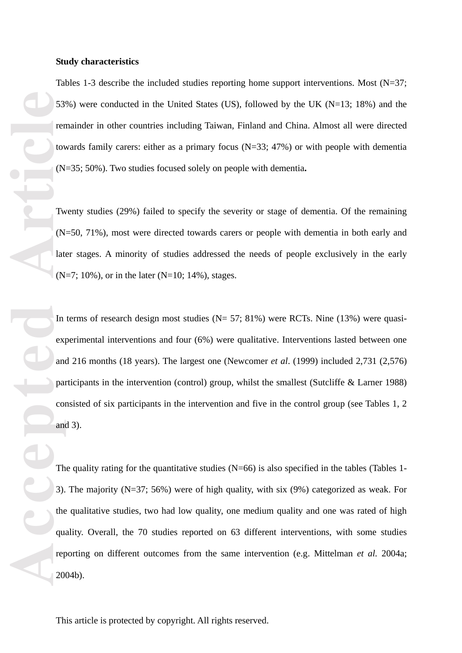#### **Study characteristics**

Tables 1-3 describe the included studies reporting home support interventions. Most (N=37; 53%) were conducted in the United States (US ), followed by the UK (N=13; 18% ) and the remainder in other countries including Taiwan, Finland and China. Almost all were directed towards family carers: either as a primary focus (N=3 3; 47% ) or with people with dementia (N=35; 50% ) . Two studies focused solely on people with dementia **.**

Twenty studies (29%) failed to specify the severity or stage of dementia. Of the remaining (N=50, 71%), most were directed towards carers or people with dementia in both early and later stages . A minority of studies addressed the needs of people exclusively in the early (N=7; 10% ), or in the later (N=10; 14%), stages.

In terms of research design most studies ( $N = 57$ ; 81%) were RCTs. Nine (13%) were quasiexperimental interventions and four (6%) were qualitative . Interventions lasted between one and 216 months (18 years). The largest one (Newcomer *et al*. (1999) included 2,731 (2,576 ) participants in the intervention (control) group, whilst the smallest (Sutcliffe & Larner 1988) consisted of six participants in the intervention and five in the control group (see Tables 1, 2 and 3).

53<br>
Ference **Article**<br>
The Research<br>
The Research<br>
The Research<br>
The Research<br>
The Research<br>
The Research<br>
The Research<br>
The Research<br>
The Research<br>
The Research<br>
The Research<br>
The Research<br>
The Research<br>
The Research<br>
The The quality rating for the quantitative studies  $(N=66)$  is also specified in the tables (Tables 1-3). The majority  $(N=37; 56%)$  were of high quality, with six (9%) categorized as weak. For the qualitative studies, two had low quality, one medium quality and one was rated of high quality. Overall, the 70 studies reported on 63 different interventions, with some studies reporting on different outcomes from the same intervention (e.g. Mittelman *et al.* 2004a; 2004b) .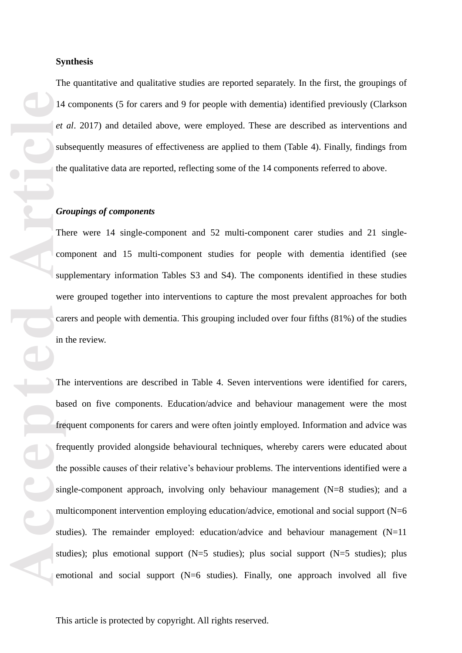The quantitative and qualitative studies are reported separately. In the first, the grouping s of 14 component s (5 for carers and 9 for people with dementia) identified previously (Clarkson *et al*. 2017 ) and detailed above, were employed . These are described as interventions and subsequently measures of effectiveness are applied to them (Table 4) . Finally, findings from the qualitative data are reported, reflecting some of the 14 components referred to above .

#### *Groupings of components*

There were 14 single-component and 52 multi-component carer studies and 21 singlecomponent and 15 multi -component studies for people with dementia identified (see supplementary information Tables S3 and S4). The components identified in these studies were grouped together into interventions to capture the most prevalent approaches for both carers and people with dementia. This grouping included over four fifths (81%) of the studies in the revie w .

**Accepted Article**<br> **Accepted Article**<br> **Article**<br> **Article**<br> **Article**<br> **Article**<br> **Article**<br> **Article**<br> **Article**<br> **Article**<br> **Article**<br> **Article**<br> **Article**<br> **Article**<br> **Article**<br> **Article**<br> **Article**<br> **Article**<br> **A Synthesis**<br>The quantitative and qualitative studies are reported sep<br>14 components (5 for carers and 9 for people with demetral. 2017) and detailed above, were employed. These<br>subsequently measures of effectiveness are a The interventions are described in Table 4. Seven interventions were identified for carers, based on five components . Education/advice and behaviour management were the most frequent components for carers and were often jointly employed. Information and advice was frequently provided alongside behavioural techniques, whereby carers were educated about the possible causes of their relative's behaviour problems. The interventions identified were a single-component approach, involving only behaviour management (N=8 studies); and a multicomponent intervention employing education/advice, emotional and social support (N=6 studies). The remainder employed: education/advice and behaviour management (N=11) studies); plus emotional support (N=5 studies); plus social support (N=5 studies); plus emotional and social support (N=6 studies). Finally, one approach involved all five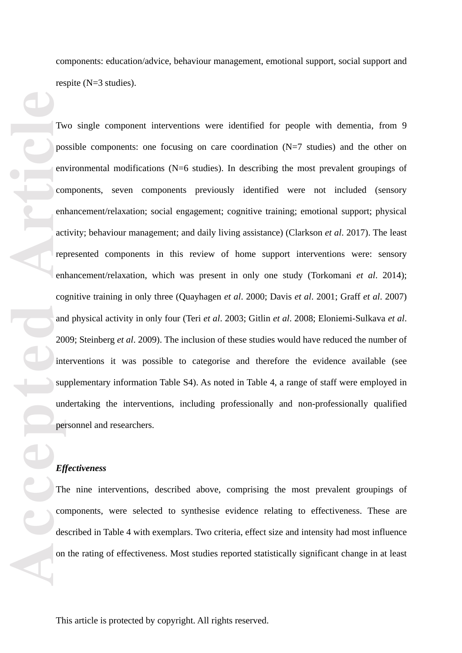components: education/advice, behaviour management, emotional support, social support and respite (N=3 studies).

The Contract of Contract of Contract of Contract of Contract of Contract of Contract of Contract of Contract of Contract of Contract of Contract of Contract of Contract of Contract of Contract of Contract of Contract of Co Two single component interventions were identified for people with dementia, from 9 possible components: one focusing on care coordination (N=7 studies) and the other on environmental modifications (N=6 studies). In describing the most prevalent groupings of components, seven components previously identified were not included (sensory enhancement/relaxation; social engagement; cognitive training; emotional support; physical activity; behaviour management; and daily living assistance) (Clarkson *et al*. 2017 ) . The least represented components in this review of home support interventions were: sensory enhancement/relaxation, which was present in only one study (Torkomani *et al*. 2014); cognitive training in only three (Quayhagen *et al*. 2000; Davis *et al*. 2001; Graff *et al*. 2007) and physical activity in only four (Teri *et al*. 2003; Gitlin *et al*. 2008; Eloniemi -Sulkava *et al*. 2009; Steinberg *et al*. 2009) . The inclusion of these studies would have reduced the number of interventions it was possible to categorise and therefore the evidence available (see supplementary information Table S4). As noted in Table 4, a range of staff were employed in undertaking the interventions , including professionally and non -professionally qualified personnel and researchers.

#### *Effectiveness*

The nine interventions, described above , comprising the most preva lent groupings of components , were selected to synthesise evidence relating to effectiveness . These are described in Table 4 with exemplars. Two criteria, effect size and intensity had most influence on the rating of effectiveness. Most studies reported statistically significant change in at least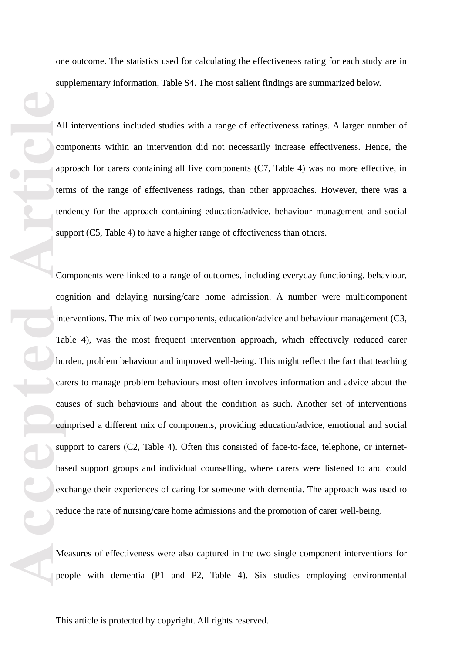one outcome. The statistics used for calculating the effectiveness rating for each study are in supplementary information, Table S4. The most salient findings are summarized below.

All interventions included studies with a range of effectiveness ratings . A larger number of components within an intervention did not necessarily increase effectiveness. Hence, the approach for carers containing all five components (C7, Table 4) was no more effective, in terms of the range of effectiveness ratings, than other approaches. However, there was a tendency for the approach containing education/advice, behaviour managemen t and social support (C5, Table 4) to have a higher range of effectiveness than others.

**AI**<br> **AI**<br>
complement<br>
terms and terms sured<br>
complement<br>
Complement<br>
Complement<br>
Complement<br>
Complement<br>
Complement<br>
Complement<br>
Complement<br>
Complement<br>
Complement<br>
Complement<br>
Complement<br>
Complement<br>
Complement<br>
Complem Components were linked to a range of outcomes, including everyday functioning, behaviour, cognition and delaying nursing/care home admission. A number were multicomponent interventions. The mix of two components*,* education/advice and behaviour management (C3, Table 4) , was the most frequent intervention approach, which effectively reduced carer burden, problem behaviour and improved well -being. This m ight reflect the fact that teaching carers to manage problem behaviours most often involves information and advice about the causes of such behaviours and about the condition as such. Another set of interventions comprised a different mix of components, providing education /advice, emotional and social support to carers (C2, Table 4). Often this consisted of face-to-face, telephone, or internetbased support groups and individual counselling, where carers were listened to and could exchange their experiences of caring for someone with dementia. The approach was used to reduce the rate of nursing/care home admissions and the promotion of carer well-being.

Measures of effectiveness were also captured in the two single component interventions for people with dementia (P1 and P2, Table 4) . Six studies employing environmental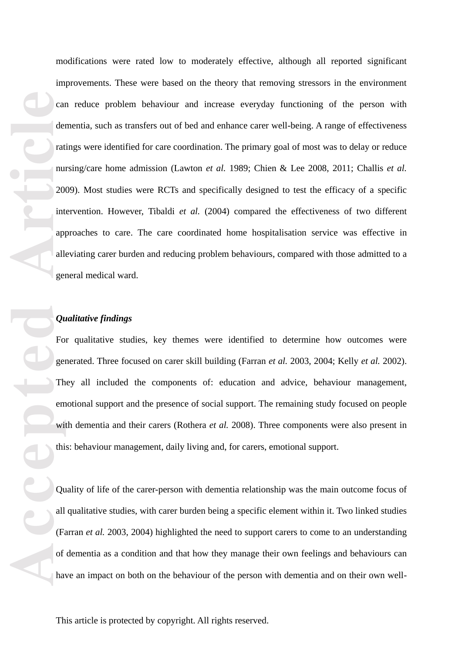**Cace of the Contract of the Contract of the Contract of the Contract of the Contract of the Contract of the Contract of the Contract of the Contract of the Contract of the Contract of the Contract of the Contract of the C** modifications were rated low to moderately effective, although all reported significant improvements. These were based on the theory that removing stressors in the environment can reduce problem behaviour and increase everyday functioning of the person with dementia, such as transfers out of bed and enhance carer well -being. A range of effectiveness ratings were identified for care coordination . The primary goal of most was to delay or reduce nursing/care home admission (Lawton *et al.* 1989; Chien & Lee 2008, 2011; Challis *et al.* 2009 ). Most studies were RCTs and specifically designed to test the efficacy of a specific intervention . However, Tibaldi *et al.* (2004) compared the effectiveness of two different approaches to care. The care coordinated home hospitali sation service was effective in alleviating carer burden and reducing problem behavio urs , compared with those admitted to a general medical ward .

# *Qualitative findings*

For qualitative studies, key themes were identified to determine how outcomes were generated . Three focused on carer skill building (Farran *et al.* 2003 , 2004; Kelly *et al.* 2002). They all included the components of: education and advice, behaviour management, emotional support and the presence of social support. The remaining study focused on people with dementia and their carers (Rothera *et al.* 2008). Three components were also present in this: behaviour management, daily living and, for carers, emotional support. Quality of life of the carer-person with dementia relationship was the main outcome focus of

all qualitative studies, with carer burden being a specific element within it. Two linked studies (Farran *et al.* 2003, 2004) highlighted the need to support carers to come to an understanding of dementia as a condition and that how they manage their own feelings and behaviours can have an impact on both on the behaviour of the person with dementia and on their own well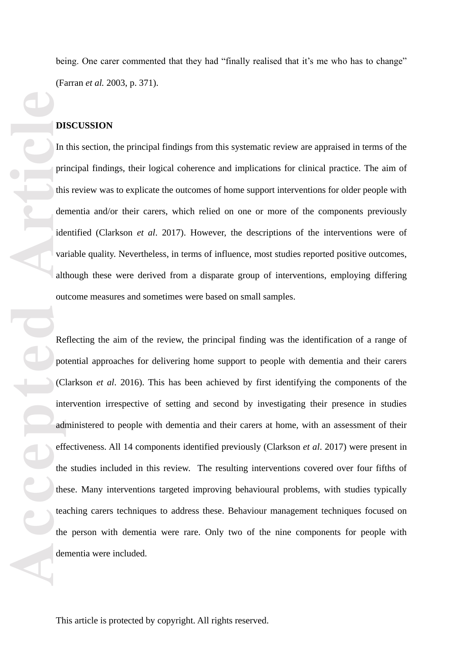being. One carer commented that they had "finally realised that it's me who has to change" (Farran *et al.* 2003, p. 371).

#### **DISCUSSION**

In this section , the principal findings from this systematic review are appraised in terms of the principal findings, their logical coherence and implications for clinical practice. The aim of this review was to explicate the outcomes of home support interventions for older people with dementia and/or their carers, which relied on one or more of the components previously identified (Clarkson *et al*. 2017). However, the descriptions of the interventions were of variable quality. Nevertheless, in terms of influence, most studies reported positive outcomes, although these were derived from a disparate group of interventions, employing differing outcome measures and sometimes were based on small sample s .

**Accepted Article**<br> **Article**<br> **Article**<br> **Article**<br> **Article**<br> **Article**<br> **Article**<br> **Article**<br> **Article**<br> **Article**<br> **Article**<br> **Article**<br> **Article**<br> **Article**<br> **Article**<br> **Article**<br> **Article**<br> **Article**<br> **Article**<br> **A** Reflecting the aim of the review, the principal finding was the identification of a range of potential approaches for delivering home support to people with dementia and their carers (Clarkson *et al*. 2016). This has been achieved by first identifying the components of the intervention irrespective of setting and second by investigating their presence in studies administered to people with dementia and their carers at home, with an assessment of their effectiveness. All 14 components identified previously (Clarkson *et al*. 2017) were present in the studies included in this review . The resulting intervention s covered over four fifths of these . Many interventions targeted improving behavioural problems, with studies typically teaching carers techniques to address these . Behaviour management techniques focused on the person with dementia were rare. Only two of the nine components for people with dementia were included.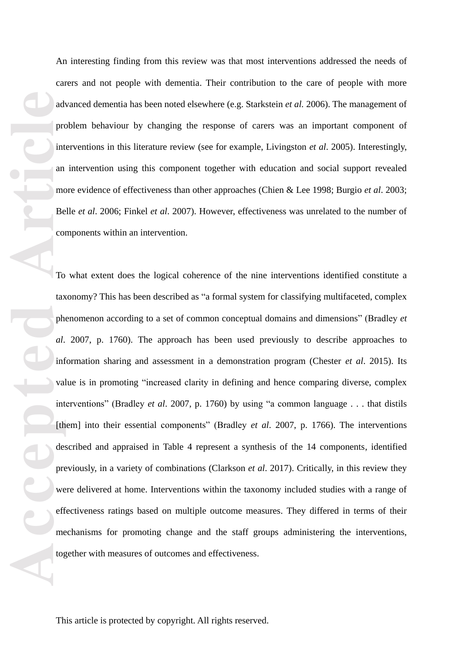An interesting finding from this review was that m ost interventions addressed the needs of carers and not people with dementia . Their contribution to the care of people with more advanced dementia has been noted elsewhere (e.g. Starkstein *et al.* 2006). The management of problem behaviour by changing the response of carers was an important component of interventions in this literature review (see for example, Livingston *et al*. 2005). Interestingly, an intervention using this component together with education and social support revealed more evidence of effectiveness than other approaches (Chien & Lee 1998; Burgio *et al*. 2003; Belle *et al*. 2006; Finkel *et al*. 2007). However, effectiveness was unrelated to the number of components within an intervention.

advertised and advertised by the contract of the contract of the contract of the contract of the contract of the contract of the contract of the contract of the contract of the contract of the contract of the contract of t To what extent does the logical coherence of the nine interventions identified constitute a taxonomy ? This has been described as "a formal system for classifying multifaceted, complex phenomenon according to a set of common conceptual domains and dimensions" (Bradley *et al* . 2007, p. 1760). The approach has been used previously to describe approaches to information sharing and assessment in a demonstration program (Chester et al. 2015). Its value is in promoting "increased clarity in defining and hence comparing diverse, complex interventions" (Bradley *et al* . 2007, p. 1760) by using "a common language . . . that distils [them] into their essential components" (Bradley *et al.* 2007, p. 1766). The interventions described and appraised in Table 4 represent a synthesis of the 14 components , identified previously, in a variety of combinations (Clarkson *et al*. 2017). Critically, in this review they were delivered at home. Interventions within the taxonomy included studies with a range of effectiveness ratings based on multiple outcome measures. They differed in terms of their mechanisms for promoting change and the staff groups administering the interventions, together with measures of outcomes and effectiveness.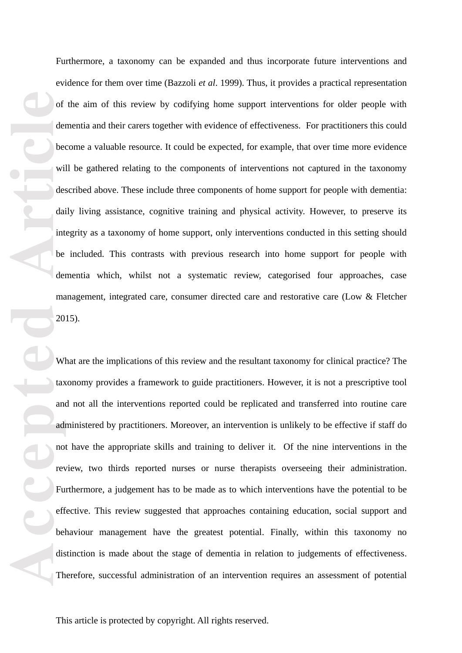Furthermore, a taxonomy can be expanded and thus incorporate future interventions and evidence for them over time (Bazzoli *et al* . 1999). Thus, it provides a practical representation of the aim of this review by codifying home support interventions for older people with dementia and their carers together with evidence of effectiveness. For practitioners this could become a valuable resource. It could be expected, for example, that over time more evidence will be gathered relating to the components of interventions not captured in the taxonomy described above. These include three components of home support for people with dementia: daily living assistance, cognitive training and physical activity . However, to preserve its integrity as a taxonomy of home support , only interventions conducted in this setting should be included. This contrasts with previous research into home support for people with dementia which, whilst not a systematic review, categorised four approaches, case management, integrated care, consumer directed care and restorative care (Low & Fletcher 2015).

of<br>
of<br>
the between<br>
wide:<br>
dai<br>
int be<br>
dai<br>
int be<br>
dai<br>
and no<br>
rev<br>
Fu<br>
eff bel<br>
dis<br>
Th What are the implications of this review and the resultant taxonomy for clinical practice? The taxonomy provides a framework to guide practitioners . However, it is not a prescriptive tool and not all the interventions reported could be replicated and transferred into routine care administered by practitioners. Moreover, an intervention is unlikely to be effective if staff do not have the appropriate skills and training to deliver it. Of the nine interventions in the review, two thirds reported nurses or nurse therapists overseeing their administration . Furthermore, a judgement has to be made as to which interventions have the potential to be effective . This review suggested that approaches containing education, social support and behaviour management have the greatest potential . Finally, within this taxonomy no distinction is made about the stage of dementia in relation to judgements of effectiveness . Therefore, successful administration of an intervention requires an assessment of potential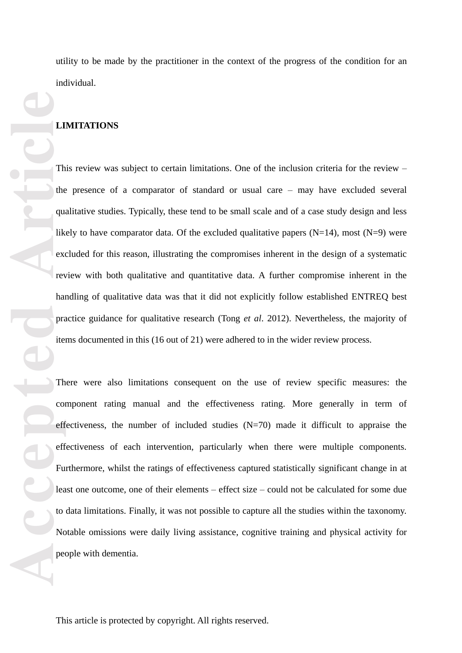utility to be made by the practitioner in the context of the progress of the condition for an individual.

#### **LIMITATIONS**

This review was subject to certain limitations. One of the inclusion criteria for the review the presence of a comparator of standard or usual care – may have excluded several qualitative studies. Typically, these tend to be small scale and of a case study design and less likely to have comparator data. Of the excluded qualitative papers  $(N=14)$ , most  $(N=9)$  were excluded for this reason, illustrating the compromises inherent in the design of a systematic review with both qualitative and quantitative data. A further compromise inherent in the handling of qualitative data was that it did not explicitly follow established ENTREQ best practice guidance for qualitative research (Tong *et al*. 2012). Nevertheless , the majority of items documented in this (16 out of 21) were adhered to in the wider review process.

**Accepted Article**<br> **Article**<br> **Article**<br> **Article**<br> **Article**<br> **Article**<br> **Article**<br> **Article**<br> **Article**<br> **Article**<br> **Article**<br> **Article**<br> **Article**<br> **Article**<br> **Article**<br> **Article**<br> **Article**<br> **Article**<br> **Article**<br> **A** There were also limitations consequent on the use of review specific measures: the component rating manual and the effectiveness rating. More generally in term of effectiveness, the number of included studies (N=70) made it difficult to appraise the effectiveness of each intervention, particularly when there were multiple components. Furthermore, whilst the ratings of effectiveness captured statistically significant change in at least one outcome, one of their elements – effect size – could not be calculated for some due to data limitations. Finally, it was not possible to capture all the studies within the taxonomy. Notable omissions were daily living assistance, cognitive training and physical activity for people with dementia.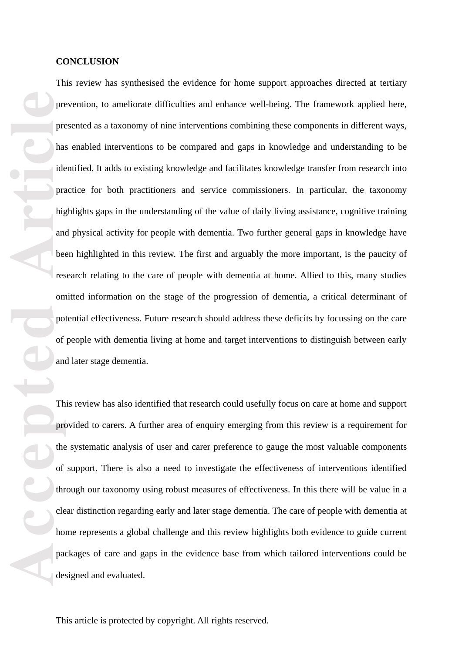#### **CONCLUSION**

pre pre has ide pra has ide pra has ide pra has ide pra has ide pra has ide pra has been compo of an moment the of three clean desired in the parties of the clean desired in the parties of the parties of the parties of the This review has synthesise d the evidence for home support approaches directed at tertiary prevention, to ameliorat e difficulties and enhanc e well -being. The framework applied here, presented as a taxonomy of nine interventions combining these components in different ways, has enabled interventions to be compared and gaps in knowledge and understanding to be identified. It adds to existing knowledge and facilitates knowledge transfer from research into practice for both practitioners and service commissioners. In particular, the taxonomy highlights gaps in the understanding of the value of daily living assistance, cognitive training and physical activity for people with dementia. Two further general gaps in knowledge have been highlighted in this review. The first and arguably the more important , is the paucity of research relating to the care of people with dementia at home. Allied to this, many studies omitted information on the stage of the progression of dementia, a critical determinant of potential effectiveness. Future research should address these deficits by focussing on the care of people with dementia living at home and target interventions to distinguish between early and later stage dementia.

This review has also identified that research could usefully focus on care at home and support provided to carers. A further area of enquiry emerging from this review is a requirement for the systematic analysis of user and carer preference to gauge the most valuable components of support. There is also a need to investigate the effectiveness of interventions identified through our taxonomy using robust measures of effectiveness. In this there will be value in a clear distinction regarding early and later stage dementia. The care of people with dementia at home represents a global challenge and this review highlights both evidence to guide current packages of care and gaps in the evidence base from which tailored interventions could be designed and evaluated.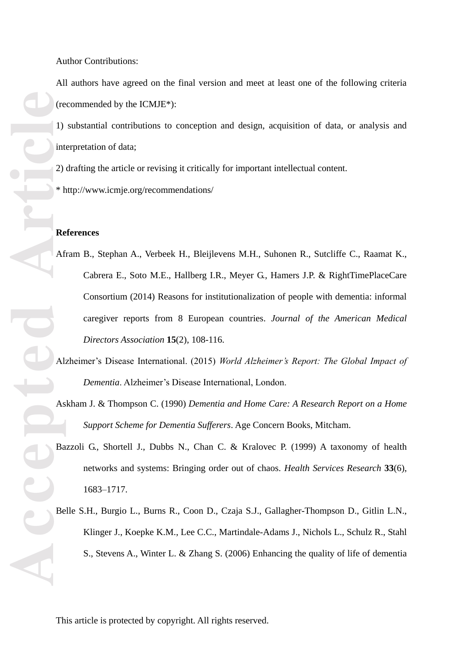All authors have agreed on the final version and meet at least one of the following criteria (recommended by the ICMJE\*):

1) substantial contributions to conception and design, acquisition of data, or analysis and interpretation of data;

2) drafting the article or revising it critically for important intellectual content.

\* http://www.icmje.org/recommendations/

#### **References**

- Afram B., Stephan A., Verbeek H., Bleijlevens M.H., Suhonen R., Sutcliffe C., Raamat K., Cabrera E., Soto M.E., Hallberg I.R., Meyer G., Hamers J.P. & RightTimePlaceCare Consortium (2014) Reasons for institutionalization of people with dementia: informal caregiver reports from 8 European countries. *Journal of the American Medical Directors Association* **15**(2), 108 -116.
- Alzheimer's Disease International. (2015) *World Alzheimer's Report: The Global Impact of Dementia*. Alzheimer's Disease International, London.
- Askham J. & Thompson C. (1990) *Dementia and Home Care: A Research Report on a Home Support Scheme for Dementia Sufferers*. Age Concern Books, Mitcham.
- Bazzoli G., Shortell J., Dubbs N., Chan C. & Kralovec P. (1999) A taxonomy of health networks and systems: Bringing order out of chaos. *Health Services Research* **33**(6), 1683 –1717.
- Belle S.H., Burgio L., Burns R., Coon D., Czaja S.J., Gallagher -Thompson D., Gitlin L.N., Klinger J., Koepke K.M., Lee C.C., Martindale -Adams J., Nichols L., Schulz R., Stahl S., Stevens A., Winter L. & Zhang S. (2006) Enhancing the quality of life of dementia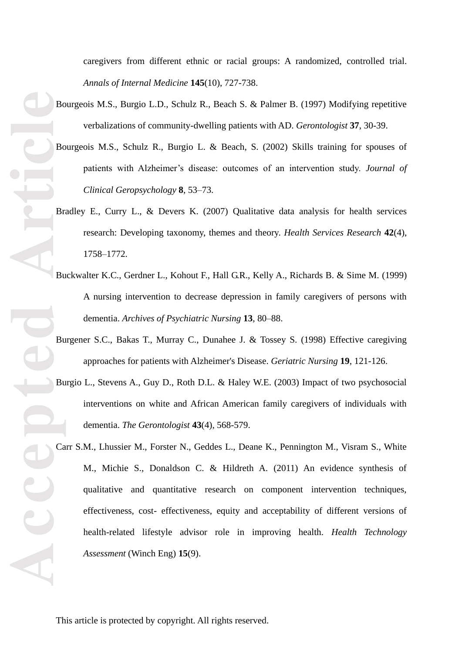caregivers from different ethnic or racial groups: A randomized, controlled trial. *Annals of Internal Medicine* **145**(10), 727 -738.

- Bourgeois M.S., Burgio L.D., Schulz R., Beach S. & Palmer B. (1997) Modifying repetitive verbalizations of community -dwelling patients with AD. *Gerontologist* **37**, 30 -39.
- Bourgeois M.S., Schulz R., Burgio L. & Beach, S. (2002) Skills training for spouses of patients with Alzheimer's disease: outcomes of an intervention study. *Journal of Clinical Geropsychology* **8**, 53 –73.
- Bradley E., Curry L., & Devers K. (2007) Qualitative data analysis for health services research: Developing taxonomy, themes and theory. *Health Services Research* **42**(4), 1758 –1772.
- Buckwalter K.C., Gerdner L., Kohout F., Hall G.R., Kelly A., Richards B. & Sime M. (1999) A nursing intervention to decrease depression in family caregivers of persons with dementia. *Archives of Psychiatric Nursing* **13**, 80 –88.
- Burgener S.C., Bakas T., Murray C., Dunahee J. & Tossey S. (1998) Effective caregiving approaches for patients with Alzheimer's Disease. *Geriatric Nursing* **19**, 121 -126.
- Burgio L., Stevens A., Guy D., Roth D.L. & Haley W.E. (2003) Impact of two psychosocial interventions on white and African American family caregivers of individuals with dementia. *The Gerontologist* **<sup>43</sup>**(4), 568-579.
- **ACCEPTED Article** Carr S.M., Lhussier M., Forster N., Geddes L., Deane K., Pennington M., Visram S., White M., Michie S., Donaldson C. & Hildreth A. (2011) An evidence synthesis of qualitative and quantitative research on component intervention techniques, effectiveness, cost - effectiveness, equity and acceptability of different versions of health -related lifestyle advisor role in improving health. *Health Technology Assessment* (Winch Eng) **15**(9).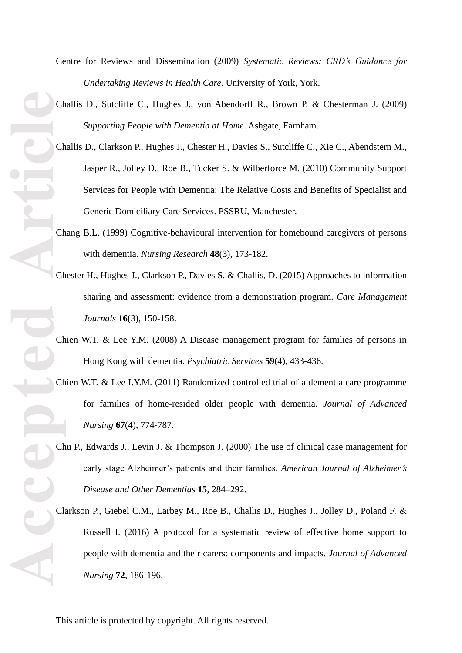Centre for Reviews and Dissemination (2009) *Systematic Reviews: CRD's Guidance for Undertaking Reviews in Health Care*. University of York, York.

- Challis D., Sutcliffe C., Hughes J., von Abendorff R., Brown P. & Chesterman J. (2009) *Supporting People with Dementia at Home*. Ashgate, Farnham.
- Challis D., Clarkson P., Hughes J., Chester H., Davies S., Sutcliffe C., Xie C., Abendstern M., Jasper R., Jolley D., Roe B., Tucker S. & Wilberforce M. (2010) Community Support Services for People with Dementia: The Relative Costs and Benefits of Specialist and Generic Domiciliary Care Services. PSSRU, Manchester.
- Chang B.L. (1999) Cognitive -behavioural intervention for homebound caregivers of persons with dementia. *Nursing Research* **48**(3), 173 -182.
- Chester H., Hughes J., Clarkson P., Davies S. & Challis, D. (2015) Approaches to information sharing and assessment: evidence from a demonstration program. *Care Management Journals* **16**(3), 150 -158.
- Chien W.T. & Lee Y.M. (2008) A Disease management program for families of persons in Hong Kong with dementia. *Psychiatric Services* **59**(4), 433 -436.
- Chien W.T. & Lee I.Y.M. (2011) Randomized controlled trial of a dementia care programme for families of home -resided older people with dementia. *Journal of Advanced Nursing* **67**(4), 774 -787.
- Chu P., Edwards J., Levin J. & Thompson J. (2000) The use of clinical case management for early stage Alzheimer's patients and their families. *American Journal of Alzheimer's Disease and Other Dementias* **15**, 284 –292.
- Clarkson P., Giebel C.M., Larbey M., Roe B., Challis D., Hughes J., Jolley D., Poland F. & Russell I. (2016) A protocol for a systematic review of effective home support to people with dementia and their carers: components and impacts. *Journal of Advanced Nursing* **72**, 186 -196.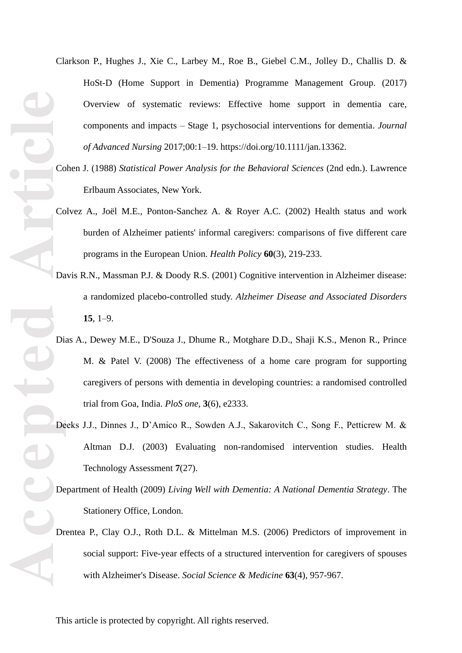- Clarkson P., Hughes J., Xie C., Larbey M., Roe B., Giebel C.M., Jolley D., Challis D. & HoSt -D (Home Support in Dementia) Programme Management Group. (2017) Overview of systematic reviews: Effective home support in dementia care, components and impacts – Stage 1, psychosocial interventions for dementia. *Journal of Advanced Nursing* 2017;00: 1 –19. https://doi.org/10.1111/jan.13362 .
- Cohen J. (1988) *Statistical Power Analysis for the Behavioral Sciences* (2nd edn.). Lawrence Erlbaum Associates, New York.
- Colvez A., Joël M.E., Ponton -Sanchez A. & Royer A.C. (2002) Health status and work burden of Alzheimer patients' informal caregivers: comparisons of five different care programs in the European Union. *Health Policy* **60**(3), 219 - 233.
- Davis R.N., Massman P.J. & Doody R.S. (2001) Cognitive intervention in Alzheimer disease: a randomized placebo -controlled study. *Alzheimer Disease and Associated Disorders* **15**, 1 –9.
- Dias A., Dewey M.E., D'Souza J., Dhume R., Motghare D.D., Shaji K.S., Menon R., Prince M. & Patel V. (2008) The effectiveness of a home care program for supporting caregivers of persons with dementia in developing countries: a randomised controlled trial from Goa, India. *PloS one*, **3**(6), e2333.
- Deeks J.J., Dinnes J., D'Amico R., Sowden A.J., Sakarovitch C., Song F., Petticrew M. & Altman D.J. (2003) Evaluating non -randomised intervention studies. Health Technology Assessment **7**(27).
- Department of Health (2009) *Living Well with Dementia: A National Dementia Strategy*. The Stationery Office, London.
- Drentea P., Clay O.J., Roth D.L. & Mittelman M.S. (2006) Predictors of improvement in social support: Five-year effects of a structured intervention for caregivers of spouses with Alzheimer's Disease. *Social Science & Medicine* 63(4), 957-967.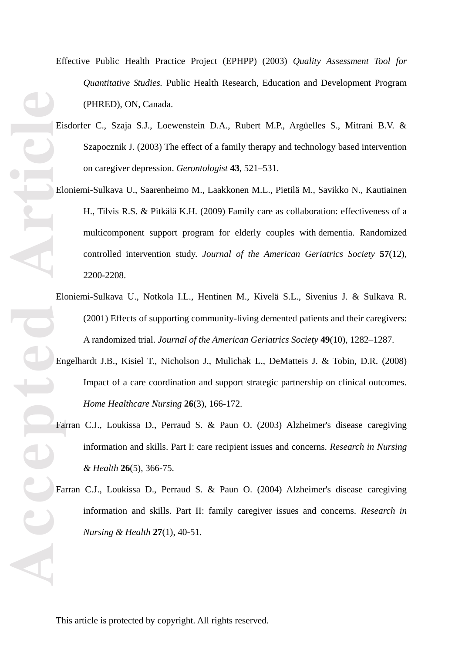- *Quantitative Studies.* Public Health Research, Education and Development Program (PHRED), ON, Canada . Eisdorfer C., Szaja S.J., Loewenstein D.A., Rubert M.P., Argüelles S., Mitrani B.V. & Szapocznik J. (2003) The effect of a family therapy and technology based intervention on caregiver depression. *Gerontologist* **43**, 521 –531. Eloniemi -Sulkava U., Saarenheimo M., Laakkonen M.L., Pietilä M., Savikko N., Kautiainen
	- H., Tilvis R.S. & Pitkälä K.H. (2009) Family care as collaboration: effectiveness of a multicomponent support program for elderly couples with dementia. Randomized controlled intervention study. *Journal of the American Geriatrics Society* **57**(12), 2200 -2208.

Effective Public Health Practice Project (EPHPP) (2003) *Quality Assessment Tool for* 

- Eloniemi -Sulkava U., Notkola I.L., Hentinen M., Kivelä S.L., Sivenius J. & Sulkava R. (2001) Effects of supporting community -living demented patients and their caregivers: A randomized trial. *Journal of the American Geriatrics Society* **49**(10), 1282 –1287.
- Engelhardt J.B., Kisiel T., Nicholson J., Mulichak L., DeMatteis J. & Tobin, D.R. (2008) Impact of a care coordination and support strategic partnership on clinical outcomes. *Home Healthcare Nursing* **26**(3), 166 - 172.
- Farran C.J., Loukissa D., Perraud S. & Paun O. (2003) Alzheimer's disease caregiving information and skills. Part I: care recipient issues and concerns. *Research in Nursing & Health* **26**(5), 366 -75.
- Farran C.J., Loukissa D., Perraud S. & Paun O. (2004) Alzheimer's disease caregiving information and skills. Part II: family caregiver issues and concerns. *Research in Nursing & Health* **27**(1), 40 -51.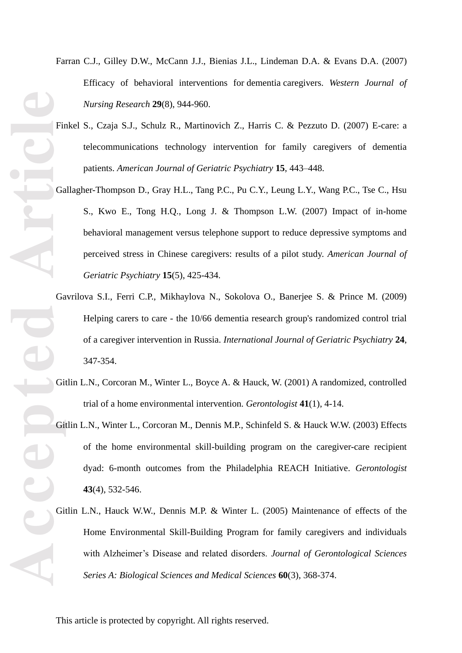- Farran C.J., Gilley D.W., McCann J.J., Bienias J.L., Lindeman D.A. & Evans D.A. (2007) Efficacy of behavioral interventions for dementia caregivers. *Western Journal of Nursing Research* **29**(8), 944 - 960.
- Finkel S., Czaja S.J., Schulz R., Martinovich Z., Harris C. & Pezzuto D. (2007) E-care: a telecommunications technology intervention for family caregivers of dementia patients. *American Journal of Geriatric Psychiatry* **15**, 443 –448.
- Accepted Article Gallagher -Thompson D., Gray H.L., Tang P.C., Pu C.Y., Leung L.Y., Wang P.C., Tse C., Hsu S., Kwo E., Tong H.Q., Long J. & Thompson L.W. (2007) Impact of in -home behavioral management versus telephone support to reduce depressive symptoms and perceived stress in Chinese caregivers: results of a pilot study. *American Journal of Geriatric Psychiatry* **15**(5), 425 -434.
	- Gavrilova S.I., Ferri C.P., Mikhaylova N., Sokolova O., Banerjee S. & Prince M. (2009) Helping carers to care - the 10/66 dementia research group's randomized control trial of a caregiver intervention in Russia. *International Journal of Geriatric Psychiatry* **24**, 347 - 354.
	- Gitlin L.N., Corcoran M., Winter L., Boyce A. & Hauck, W. (2001) A randomized, controlled trial of a home environmental intervention. *Gerontologist* **41**(1), 4 -14.
	- Gitlin L.N., Winter L., Corcoran M., Dennis M.P., Schinfeld S. & Hauck W.W. (2003) Effects of the home environmental skill -building program on the caregiver -care recipient dyad: 6 -month outcomes from the Philadelphia REACH Initiative. *Gerontologist* **43**(4), 532 -546.
	- Gitlin L.N., Hauck W.W., Dennis M.P. & Winter L. (2005) Maintenance of effects of the Home Environmental Skill -Building Program for family caregivers and individuals with Alzheimer's Disease and related disorders. *Journal of Gerontological Sciences Series A: Biological Sciences and Medical Sciences* **60**(3), 368 -374.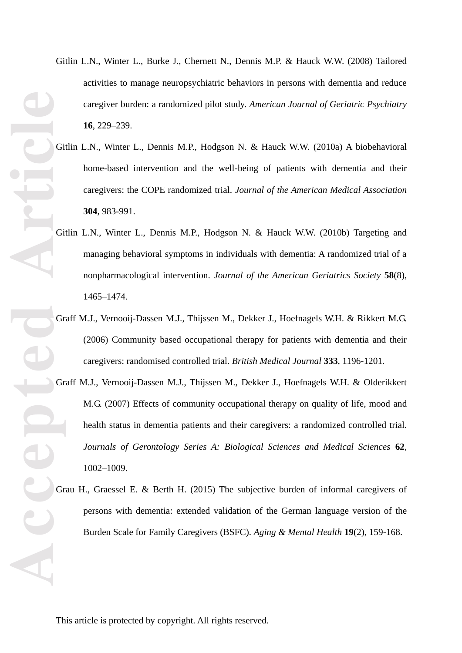- **Accepted Article**
- Gitlin L.N ., Winter L., Burke J., Chernett N., Dennis M.P. & Hauck W.W. (2008) Tailored activities to manage neuropsychiatric behaviors in persons with dementia and reduce caregiver burden: a randomized pilot study. *American Journal of Geriatric Psychiatry* **16**, 229 –239.
	- Gitlin L.N., Winter L., Dennis M.P., Hodgson N. & Hauck W.W. (2010a) A biobehavioral home -based intervention and the well -being of patients with dementia and their caregivers: the COPE randomized trial. *Journal of the American Medical Association* **304**, 983 -991.
	- Gitlin L.N., Winter L., Dennis M.P., Hodgson N. & Hauck W.W. (2010b) Targeting and managing behavioral symptoms in individuals with dementia: A randomized trial of a nonpharmacological intervention. *Journal of the American Geriatrics Society* **58**(8), 1465 –1474.
	- Graff M.J., Vernooij-Dassen M.J., Thijssen M., Dekker J., Hoefnagels W.H. & Rikkert M.G. (2006) Community based occupational therapy for patients with dementia and their caregivers: randomised controlled trial. British Medical Journal 333, 1196-1201.
	- Graff M.J., Vernooij -Dassen M.J., Thijssen M., Dekker J., Hoefnagels W.H. & Olderikkert M.G. (2007) Effects of community occupational therapy on quality of life, mood and health status in dementia patients and their caregivers: a randomized controlled trial. *Journals of Gerontology Series A: Biological Sciences and Medical Sciences* **62**, 1002 –1009.
	- Grau H., Graessel E. & Berth H. (2015) The subjective burden of informal caregivers of persons with dementia: extended validation of the German language version of the Burden Scale for Family Caregivers (BSFC). *Aging & Mental Health* **19**(2), 159 -168.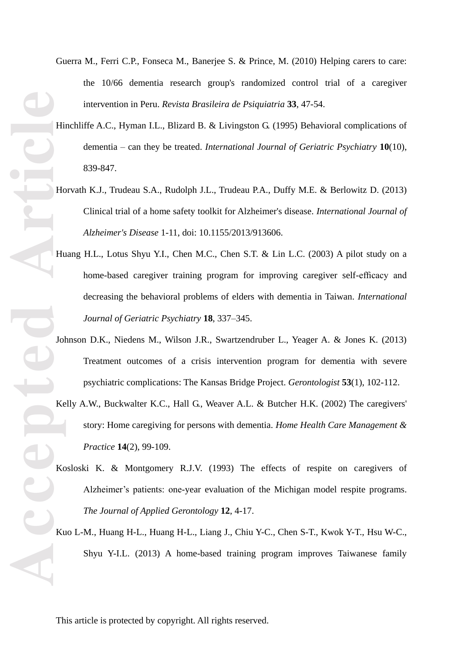- Guerra M., Ferri C.P., Fonseca M., Banerjee S. & Prince, M. (2010) Helping carers to care: the 10/66 dementia research group's randomized control trial of a caregiver intervention in Peru. *Revista Brasileira de Psiquiatria* **33**, 47 -54.
- Hinchliffe A.C., Hyman I.L., Blizard B. & Livingston G. (1995) Behavioral complications of dementia – can they be treated. *International Journal of Geriatric Psychiatry* **10**(10), 839 -847.
- Horvath K.J., Trudeau S.A., Rudolph J.L., Trudeau P.A., Duffy M.E. & Berlowitz D. (2013) Clinical trial of a home safety toolkit for Alzheimer's disease. *International Journal of Alzheimer's Disease* 1 -11, doi: [10.1155/2013/913606.](http://dx.doi.org/10.1155/2013/913606)
- Huang H.L., Lotus Shyu Y.I., Chen M.C., Chen S.T. & Lin L.C. (2003) A pilot study on a home-based caregiver training program for improving caregiver self-efficacy and decreasing the behavioral problems of elders with dementia in Taiwan. *International Journal of Geriatric Psychiatry* **18**, 337 –345.
- **Accepted Article** Johnson D.K., Niedens M., Wilson J.R., Swartzendruber L., Yeager A. & Jones K. (2013) Treatment outcomes of a crisis intervention program for dementia with severe psychiatric complications: The Kansas Bridge Project. *Gerontologist* **53**(1), 102 -112.
	- Kelly A.W., Buckwalter K.C., Hall G., Weaver A.L. & Butcher H.K. (2002) The caregivers' story: Home caregiving for persons with dementia. *Home Health Care Management & Practice* **14**(2), 99 -109.
	- Kosloski K. & Montgomery R.J.V. (1993) The effects of respite on caregivers of Alzheimer's patients: one -year evaluation of the Michigan model respite programs. *The Journal of Applied Gerontology* **12**, 4 -17.
	- Kuo L -M., Huang H -L., Huang H -L., Liang J., Chiu Y-C., Chen S -T., Kwok Y-T., Hsu W-C., Shyu Y-I.L. (2013) A home -based training program improves Taiwanese family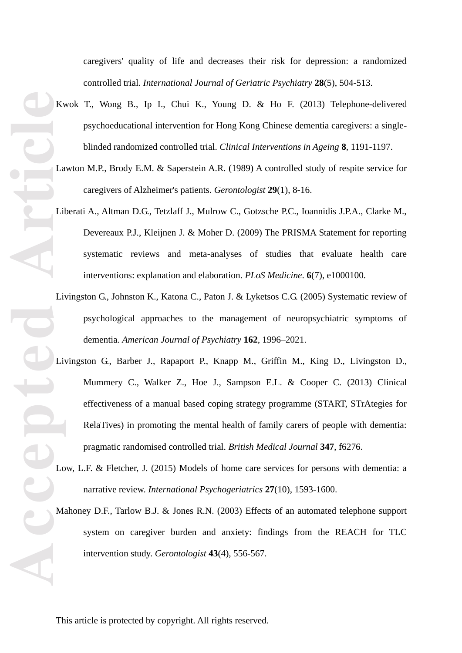Accepted **Article** 

caregivers' quality of life and decreases their risk for depression: a randomized controlled trial. *International Journal of Geriatric Psychiatry* **28**(5), 504 -513.

- Kwok T., Wong B., Ip I., Chui K., Young D. & Ho F. (2013) Telephone -delivered psychoeducational intervention for Hong Kong Chinese dementia caregivers: a single blinded randomized controlled trial. *Clinical Interventions in Ageing* **8**, 119 1 -1197.
- Lawton M.P., Brody E.M. & Saperstein A.R. (1989) A controlled study of respite service for caregivers of Alzheimer's patients. *Gerontologist* **29**(1), 8 -16.
- Liberati A., Altman D.G., Tetzlaff J., Mulrow C., Gotzsche P.C., Ioannidis J.P.A., Clarke M., Devereaux P.J., Kleijnen J. & Moher D. (2009) The PRISMA Statement for reporting systematic reviews and meta -analyses of studies that evaluate health care interventions: explanation and elaboration. *PLoS Medicine*. **6**(7), e1000100.
- [Livingston G.](http://www.ncbi.nlm.nih.gov/pubmed/?term=Livingston%20G%5BAuthor%5D&cauthor=true&cauthor_uid=16263837), [Johnston K.](http://www.ncbi.nlm.nih.gov/pubmed/?term=Johnston%20K%5BAuthor%5D&cauthor=true&cauthor_uid=16263837), [Katona C.](http://www.ncbi.nlm.nih.gov/pubmed/?term=Katona%20C%5BAuthor%5D&cauthor=true&cauthor_uid=16263837), [Paton J.](http://www.ncbi.nlm.nih.gov/pubmed/?term=Paton%20J%5BAuthor%5D&cauthor=true&cauthor_uid=16263837) & [Lyketsos C.G.](http://www.ncbi.nlm.nih.gov/pubmed/?term=Lyketsos%20CG%5BAuthor%5D&cauthor=true&cauthor_uid=16263837) (2005) Systematic review of psychological approaches to the management of neuropsychiatric symptoms of dementia. *American Journal of Psychiatry* **162**, 1996 –2021.
- Livingston G., Barber J., Rapaport P., Knapp M., Griffin M., King D., Livingston D., Mummery C., Walker Z., Hoe J., Sampson E.L. & Cooper C. (2013) Clinical effectiveness of a manual based coping strategy programme (START, STrAtegies for RelaTives) in promoting the mental health of family carers of people with dementia: pragmatic randomised controlled trial. *British Medical Journal* **347**, f6276.
- Low, L.F. & Fletcher, J. (2015) Models of home care services for persons with dementia: a narrative review. *International Psychogeriatrics* **27**(10), 1593 -1600.
- Mahoney D.F., Tarlow B.J. & Jones R.N. (2003) Effects of an automated telephone support system on caregiver burden and anxiety: findings from the REACH for TLC intervention study. *Gerontologist* **43**(4), 556 -567.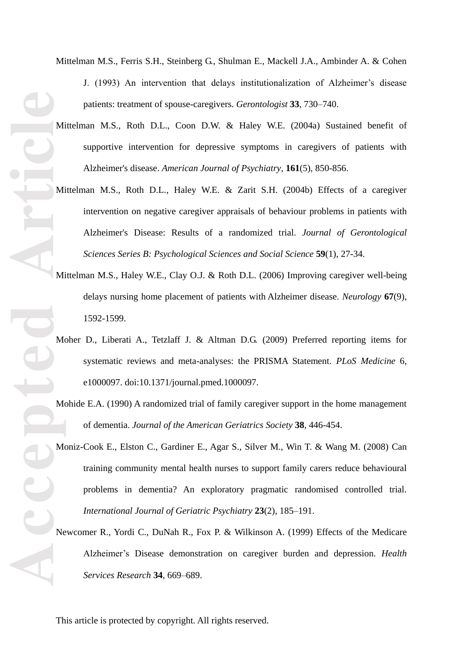**Accepted Article**

Mittelman M.S., Ferris S.H., Steinberg G., Shulman E., Mackell J.A., Ambinder A. & Cohen J. (1993) An intervention that delays institutionalization of Alzheimer's disease patients: treatment of spouse -caregivers. *Gerontologist* **33**, 730 –740.

- Mittelman M.S., Roth D.L., Coon D.W. & Haley W.E. (2004a) Sustained benefit of supportive intervention for depressive symptoms in caregivers of patients with Alzheimer's disease. *American Journal of Psychiatry* , **161**(5), 850 -856.
- Mittelman M.S., Roth D.L., Haley W.E. & Zarit S.H. (2004b) Effects of a caregiver intervention on negative caregiver appraisals of behaviour problems in patients with Alzheimer's Disease: Results of a randomized trial. *Journal of Gerontological Sciences Series B: Psychological Sciences and Social Science* **59**(1), 27 -34.
- Mittelman M.S., Haley W.E., Clay O.J. & Roth D.L. (2006) Improving caregiver well -being delays nursing home placement of patients with Alzheimer disease. *Neurology* **67**(9), 1592 -1599.
- Moher D., Liberati A., Tetzlaff J. & Altman D.G. (2009) Preferred reporting items for systematic reviews and meta -analyses: the PRISMA Statement. *PLoS Medicine* 6, e1000097. doi:10.1371/journal.pmed.1000097.
- Mohide E.A. (1990) A randomized trial of family caregiver support in the home management of dementia. *Journal of the American Geriatrics Society* **38**, 446 -454.
- Moniz -Cook E., Elston C., Gardiner E., Agar S., Silver M., Win T. & Wang M. (2008) Can training community mental health nurses to support family carers reduce behavioural problems in dementia? An exploratory pragmatic randomised controlled trial. *International Journal of Geriatric Psychiatry* **23**(2), 185 –191.
- Newcomer R., Yordi C., DuNah R., Fox P. & Wilkinson A. (1999) Effects of the Medicare Alzheimer's Disease demonstration on caregiver burden and depression. *Health Services Research* **34**, 669 –689.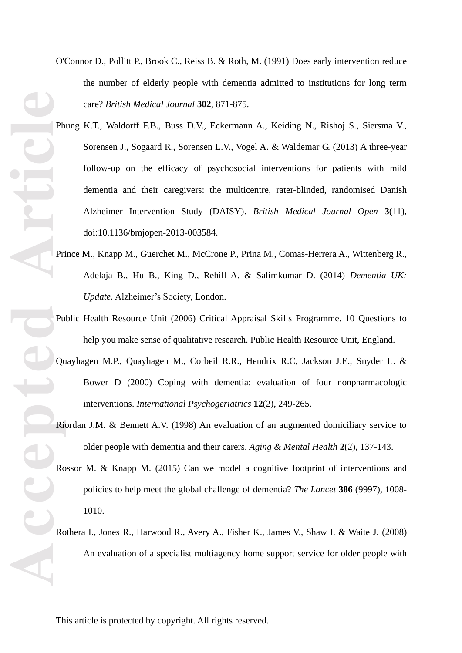- **ACCEPTED ARE** 1010.
- O'Connor D., Pollitt P., Brook C., Reiss B. & Roth, M. (1991) Does early intervention reduce the number of elderly people with dementia admitted to institutions for long term care? *British Medical Journal* **302**, 871 -875.
	- Phung K.T., Waldorff F.B., Buss D.V., Eckermann A., Keiding N., Rishoj S., Siersma V., Sorensen J., Sogaard R., Sorensen L.V., Vogel A. & Waldemar G. (2013) A three -year follow -up on the efficacy of psychosocial interventions for patients with mild dementia and their caregivers: the multicentre, rater -blinded, randomised Danish Alzheimer Intervention Study (DAISY). *British Medical Journal Open* **3**(11), doi:10.1136/bmjopen -2013 -003584.
	- Prince M., Knapp M., Guerchet M., McCrone P., Prina M., Comas-Herrera A., Wittenberg R., Adelaja B., Hu B., King D., Rehill A. & Salimkumar D. (2014) *Dementia UK: Update.* Alzheimer's Society, London.
	- Public Health Resource Unit (2006) Critical Appraisal Skills Programme. 10 Questions to help you make sense of qualitative research. Public Health Resource Unit, England.
	- Quayhagen M.P., Quayhagen M., Corbeil R.R., Hendrix R.C, Jackson J.E., Snyder L. & Bower D (2000) Coping with dementia: evaluation of four nonpharmacologic interventions. *International Psychogeriatrics* **12**(2), 249 -265.
	- Riordan J.M. & Bennett A.V. (1998) An evaluation of an augmented domiciliary service to older people with dementia and their carers. *Aging & Mental Health* **2**(2), 137 -143.
	- Rossor M. & Knapp M. (2015) Can we model a cognitive footprint of interventions and policies to help meet the global challenge of dementia? *The Lancet* **386** (9997), 1008 -
	- Rothera I., Jones R., Harwood R., Avery A., Fisher K., James V., Shaw I. & Waite J. (2008) An evaluation of a specialist multiagency home support service for older people with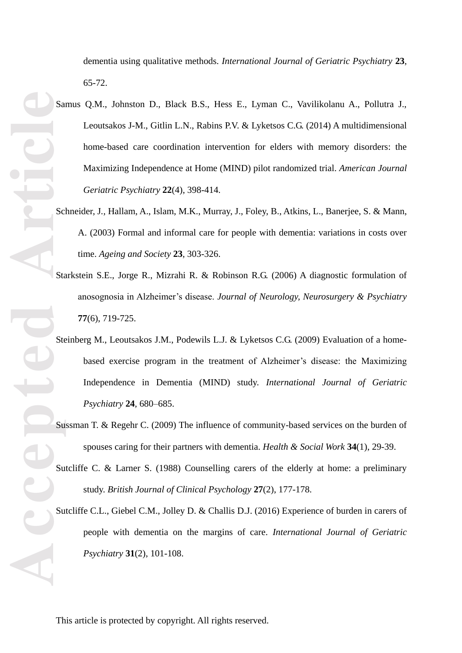dementia using qualitative methods. *International Journal of Geriatric Psychiatry* **23**, 65 -72.

- **Accepted Article** Samus Q.M., Johnston D., Black B.S., Hess E., Lyman C., Vavilikolanu A., Pollutra J., Leoutsakos J -M., Gitlin L.N., Rabins P.V. & Lyketsos C.G. (2014) A multidimensional home -based care coordination intervention for elders with memory disorders: the Maximizing Independence at Home (MIND) pilot randomized trial. *American Journal Geriatric Psychiatry* **22**(4), 398 -414.
	- Schneider, J*.,* Hallam, A., Islam, M.K., Murray, J., Foley, B., Atkins, L., Banerjee, S. & Mann, A. (2003) Formal and informal care for people with dementia: variations in costs over time. *Ageing and Society* **23**, 303 -326.
	- Starkstein S.E., Jorge R., Mizrahi R. & Robinson R.G. (2006 ) A diagnostic formulation of anosognosia in Alzheimer's disease. *Journal of Neurology, Neurosurgery & Psychiatry* **77**(6), 719 -725.
	- Steinberg M., Leoutsakos J.M., Podewils L.J. & Lyketsos C.G. (2009) Evaluation of a homebased exercise program in the treatment of Alzheimer's disease: the Maximizing Independence in Dementia (MIND) study. *International Journal of Geriatric Psychiatry* **24**, 680 –685.
	- Sussman T. & Regehr C. (2009) The influence of community -based services on the burden of spouses caring for their partners with dementia. *Health & Social Work* **34**(1), 29 -39.
	- Sutcliffe C. & Larner S. (1988) Counselling carers of the elderly at home: a preliminary study. *British Journal of Clinical Psychology* **27** (2), 177 -178.
	- Sutcliffe C.L., Giebel C.M., Jolley D. & Challis D.J. (2016) Experience of burden in carers of people with dementia on the margins of care. *International Journal of Geriatric Psychiatry* **31**(2), 101 -108.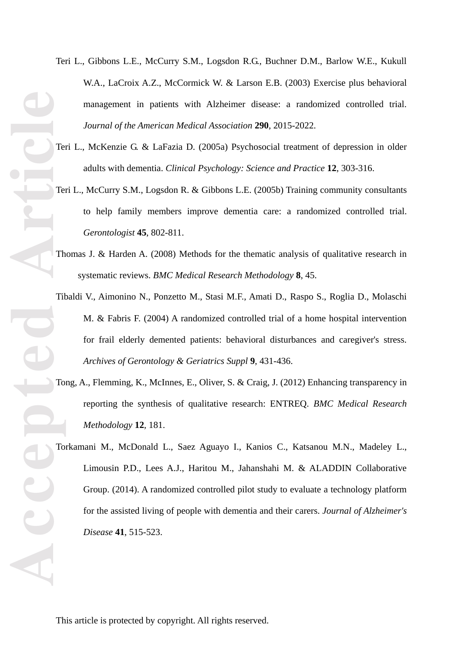- Teri L., Gibbons L.E., McCurry S.M., Logsdon R.G., Buchner D.M., Barlow W.E., Kukull W.A., LaCroix A.Z., McCormick W. & Larson E.B. (2003) Exercise plus behavioral management in patients with Alzheimer disease: a randomized controlled trial. *Journal of the American Medical Association* **290**, 2015 -2022.
- Teri L., McKenzie G. & LaFazia D. (2005 a) Psychosocial treatment of depression in older adults with dementia. *Clinical Psychology: Science and Practice* **12**, 303 -316.
- Teri L., McCurry S.M., Logsdon R. & Gibbons L.E. (2005b) Training community consultants to help family members improve dementia care: a randomized controlled trial. *Gerontologist* **45**, 802 -811.
- Thomas J. & Harden A. (2008) Methods for the thematic analysis of qualitative research in systematic reviews. *BMC Medical Research Methodology* **8**, 45.
- Tibaldi V., Aimonino N., Ponzetto M., Stasi M.F., Amati D., Raspo S., Roglia D., Molaschi M. & Fabris F. (2004) A randomized controlled trial of a home hospital intervention for frail elderly demented patients: behavioral disturbances and caregiver's stress. *Archives of Gerontology & Geriatrics Suppl* **9**, 431 -436.
- Tong, A., Flemming, K., McInnes, E., Oliver, S. & Craig, J. (2012) Enhancing transparency in reporting the synthesis of qualitative research: ENTREQ. *BMC Medical Research Methodology* **12** , 181.
- Torkamani M., McDonald L., Saez Aguayo I., Kanios C., Katsanou M.N., Madeley L., Limousin P.D., Lees A.J., Haritou M., Jahanshahi M. & ALADDIN Collaborative Group. (2014). A randomized controlled pilot study to evaluate a technology platform for the assisted living of people with dementia and their carers. *Journal of Alzheimer's Disease* **41**, 515 -523.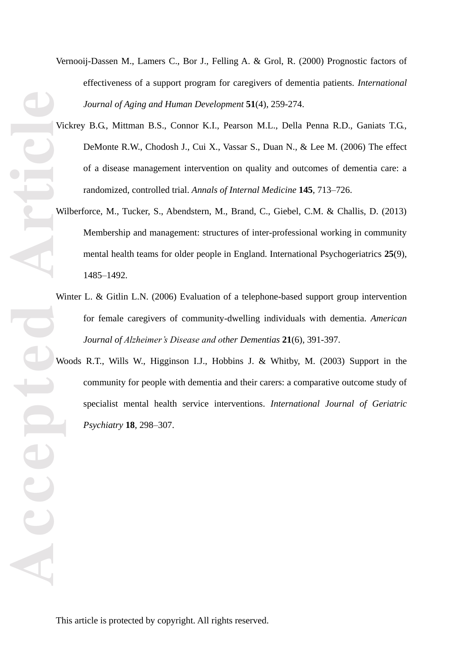- Vernooij -Dassen M., Lamers C., Bor J., Felling A. & Grol, R. (2000) Prognostic factors of effectiveness of a support program for caregivers of dementia patients. *International Journal of Aging and Human Development* **51**(4), 259 -274.
- Vickrey B.G., Mittman B.S., Connor K.I., Pearson M.L., Della Penna R.D., Ganiats T.G., DeMonte R.W., Chodosh J., Cui X., Vassar S., Duan N., & Lee M. (2006) The effect of a disease management intervention on quality and outcomes of dementia care: a randomized, controlled trial. *Annals of Internal Medicine* **145**, 713 –726.
- Wilberforce, M., Tucker, S., Abendstern, M., Brand, C., Giebel, C.M. & Challis, D. (2013) Membership and management: structures of inter -professional working in community mental health teams for older people in England. International Psychogeriatrics **25**(9), 1485 –1492.
- Winter L. & Gitlin L.N. (2006) Evaluation of a telephone-based support group intervention for female caregivers of community -dwelling individuals with dementia. *American Journal of Alzheimer's Disease and other Dementias* **21**(6), 391 -397.
- Woods R.T., Wills W., Higginson I.J., Hobbins J. & Whitby, M. (2003) Support in the community for people with dementia and their carers: a comparative outcome study of specialist mental health service interventions. *International Journal of Geriatric Psychiatry* **18**, 298 –307.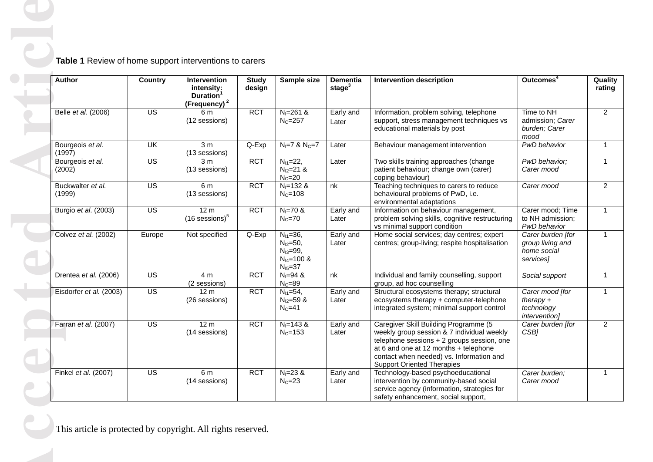| Author                      | <b>Country</b>          | Intervention<br>intensity:<br>Duration <sup>1</sup><br>(Frequency) <sup>2</sup> | <b>Study</b><br>design | Sample size                                                                             | Dementia<br>stage $3$ | <b>Intervention description</b>                                                                                                                                                                                                                             | Outcomes <sup>4</sup>                                             |
|-----------------------------|-------------------------|---------------------------------------------------------------------------------|------------------------|-----------------------------------------------------------------------------------------|-----------------------|-------------------------------------------------------------------------------------------------------------------------------------------------------------------------------------------------------------------------------------------------------------|-------------------------------------------------------------------|
| Belle et al. (2006)         | $\overline{US}$         | 6 m<br>(12 sessions)                                                            | <b>RCT</b>             | $N_1 = 261$ &<br>$NC=257$                                                               | Early and<br>Later    | Information, problem solving, telephone<br>support, stress management techniques vs<br>educational materials by post                                                                                                                                        | Time to NH<br>admission; Carer<br>burden; Carer<br>mood           |
| Bourgeois et al.<br>(1997)  | $\overline{\mathsf{U}}$ | 3 <sub>m</sub><br>(13 sessions)                                                 | Q-Exp                  | $N_1 = 7$ & $N_C = 7$                                                                   | Later                 | Behaviour management intervention                                                                                                                                                                                                                           | PwD behavior                                                      |
| Bourgeois et al.<br>(2002)  | $\overline{US}$         | 3 <sub>m</sub><br>(13 sessions)                                                 | <b>RCT</b>             | $N_{11}=22,$<br>$N_{12}=21.8$<br>$N_C = 20$                                             | Later                 | Two skills training approaches (change<br>patient behaviour; change own (carer)<br>coping behaviour)                                                                                                                                                        | PwD behavior;<br>Carer mood                                       |
| Buckwalter et al.<br>(1999) | $\overline{US}$         | 6 m<br>(13 sessions)                                                            | <b>RCT</b>             | $N_1 = 132$ &<br>$N_c = 108$                                                            | nk                    | Teaching techniques to carers to reduce<br>behavioural problems of PwD, i.e.<br>environmental adaptations                                                                                                                                                   | Carer mood                                                        |
| Burgio et al. (2003)        | $\overline{US}$         | 12 m<br>$(16$ sessions) $5$                                                     | <b>RCT</b>             | $N_1 = 70$ &<br>$N_C = 70$                                                              | Early and<br>Later    | Information on behaviour management,<br>problem solving skills, cognitive restructuring<br>vs minimal support condition                                                                                                                                     | Carer mood; Time<br>to NH admission;<br>PwD behavior              |
| Colvez et al. (2002)        | Europe                  | Not specified                                                                   | Q-Exp                  | $N_{11}=36,$<br>$N_{12} = 50$ ,<br>$N_{13} = 99,$<br>$N_{14} = 100 \&$<br>$N_{15} = 37$ | Early and<br>Later    | Home social services; day centres; expert<br>centres; group-living; respite hospitalisation                                                                                                                                                                 | Carer burden [for<br>group living and<br>home social<br>services] |
| Drentea et al. (2006)       | $\overline{US}$         | 4 <sub>m</sub><br>(2 sessions)                                                  | <b>RCT</b>             | $N_1 = 94$ &<br>$N_C = 89$                                                              | nk                    | Individual and family counselling, support<br>group, ad hoc counselling                                                                                                                                                                                     | Social support                                                    |
| Eisdorfer et al. (2003)     | $\overline{US}$         | 12 <sub>m</sub><br>(26 sessions)                                                | <b>RCT</b>             | $N_{11} = 54$ ,<br>$N_{12} = 59$ &<br>$N_C = 41$                                        | Early and<br>Later    | Structural ecosystems therapy; structural<br>ecosystems therapy + computer-telephone<br>integrated system; minimal support control                                                                                                                          | Carer mood [for<br>there<br>technology<br>intervention]           |
| Farran et al. (2007)        | US                      | 12 <sub>m</sub><br>(14 sessions)                                                | <b>RCT</b>             | $N_1 = 143$ &<br>$N_c = 153$                                                            | Early and<br>Later    | Caregiver Skill Building Programme (5<br>weekly group session & 7 individual weekly<br>telephone sessions + 2 groups session, one<br>at 6 and one at 12 months + telephone<br>contact when needed) vs. Information and<br><b>Support Oriented Therapies</b> | Carer burden [for<br>CSB1                                         |
| Finkel et al. (2007)        | $\overline{US}$         | 6 m<br>(14 sessions)                                                            | <b>RCT</b>             | $N_1 = 23 &$<br>$N_C = 23$                                                              | Early and<br>Later    | Technology-based psychoeducational<br>intervention by community-based social<br>service agency (information, strategies for<br>safety enhancement, social support,                                                                                          | Carer burden;<br>Carer mood                                       |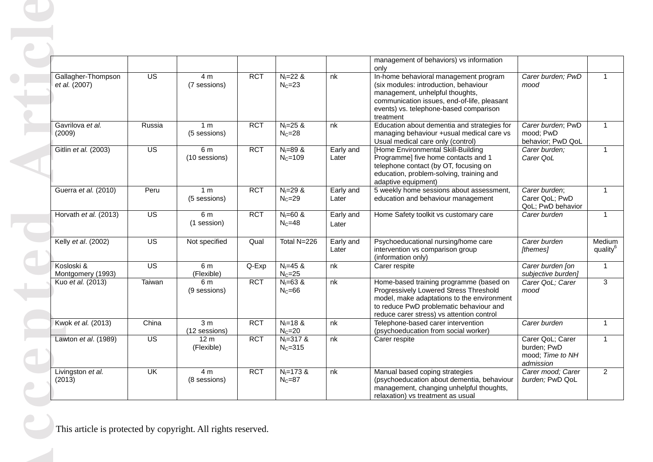|                             |                       |                           |                                 |            |                             |                    | management of behaviors) vs information<br>only                                                                                                                                                                         |                                                                  |                                |
|-----------------------------|-----------------------|---------------------------|---------------------------------|------------|-----------------------------|--------------------|-------------------------------------------------------------------------------------------------------------------------------------------------------------------------------------------------------------------------|------------------------------------------------------------------|--------------------------------|
| et al. (2007)               | Gallagher-Thompson    | $\overline{US}$           | 4 m<br>(7 sessions)             | <b>RCT</b> | $N_1 = 22$ &<br>$N_C = 23$  | nk                 | In-home behavioral management program<br>(six modules: introduction, behaviour<br>management, unhelpful thoughts,<br>communication issues, end-of-life, pleasant<br>events) vs. telephone-based comparison<br>treatment | Carer burden; PwD<br>mood                                        |                                |
| Gavrilova et al.<br>(2009)  |                       | Russia                    | 1 <sub>m</sub><br>(5 sessions)  | <b>RCT</b> | $N_1 = 25$ &<br>$N_C = 28$  | nk                 | Education about dementia and strategies for<br>managing behaviour +usual medical care vs<br>Usual medical care only (control)                                                                                           | Carer burden; PwD<br>mood; PwD<br>behavior; PwD QoL              |                                |
|                             | Gitlin et al. (2003)  | $\overline{US}$           | 6 m<br>(10 sessions)            | <b>RCT</b> | $N_1 = 89$ &<br>$N_c = 109$ | Early and<br>Later | [Home Environmental Skill-Building<br>Programme] five home contacts and 1<br>telephone contact (by OT, focusing on<br>education, problem-solving, training and<br>adaptive equipment)                                   | Carer burden;<br>Carer QoL                                       |                                |
|                             | Guerra et al. (2010)  | Peru                      | 1 <sub>m</sub><br>(5 sessions)  | <b>RCT</b> | $N_1 = 29$ &<br>$N_C = 29$  | Early and<br>Later | 5 weekly home sessions about assessment,<br>education and behaviour management                                                                                                                                          | Carer burden;<br>Carer QoL; PwD<br>QoL; PwD behavior             |                                |
|                             | Horvath et al. (2013) | $\overline{US}$           | 6 m<br>(1 session)              | <b>RCT</b> | $N_1 = 60$ &<br>$N_C = 48$  | Early and<br>Later | Home Safety toolkit vs customary care                                                                                                                                                                                   | Carer burden                                                     |                                |
|                             | Kelly et al. (2002)   | $\overline{US}$           | Not specified                   | Qual       | Total N=226                 | Early and<br>Later | Psychoeducational nursing/home care<br>intervention vs comparison group<br>(information only)                                                                                                                           | Carer burden<br>[themes]                                         | Medium<br>quality <sup>6</sup> |
| Kosloski &                  | Montgomery (1993)     | $\overline{US}$           | 6 m<br>(Flexible)               | Q-Exp      | $N = 45$ &<br>$N_C = 25$    | nk                 | Carer respite                                                                                                                                                                                                           | Carer burden [on<br>subjective burden]                           |                                |
| Kuo et al. (2013)           |                       | Taiwan                    | 6 m<br>(9 sessions)             | <b>RCT</b> | $N_1 = 63$ &<br>$N_C = 66$  | nk                 | Home-based training programme (based on<br>Progressively Lowered Stress Threshold<br>model, make adaptations to the environment<br>to reduce PwD problematic behaviour and<br>reduce carer stress) vs attention control | Carer QoL; Carer<br>mood                                         |                                |
|                             | Kwok et al. (2013)    | China                     | 3 <sub>m</sub><br>(12 sessions) | <b>RCT</b> | $N = 18$ &<br>$N_C = 20$    | nk                 | Telephone-based carer intervention<br>(psychoeducation from social worker)                                                                                                                                              | Carer burden                                                     |                                |
|                             | Lawton et al. (1989)  | $\overline{US}$           | 12 <sub>m</sub><br>(Flexible)   | <b>RCT</b> | $N = 317$ &<br>$NC=315$     | nk                 | Carer respite                                                                                                                                                                                                           | Carer QoL; Carer<br>burden; PwD<br>mood; Time to NH<br>admission |                                |
| Livingston et al.<br>(2013) |                       | $\overline{\mathsf{U}}$ K | 4 m<br>(8 sessions)             | <b>RCT</b> | $N_1 = 173$ &<br>$N_C = 87$ | nk                 | Manual based coping strategies<br>(psychoeducation about dementia, behaviour<br>management, changing unhelpful thoughts,<br>relaxation) vs treatment as usual                                                           | Carer mood; Carer<br>burden; PwD QoL                             |                                |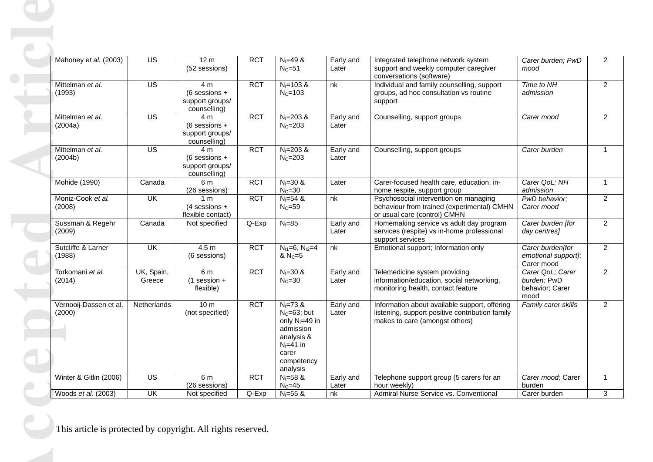|                              | Mahoney et al. (2003)  | $\overline{US}$           | 12 <sub>m</sub><br>(52 sessions)                                     | <b>RCT</b> | $N = 49$ &<br>$NC=51$                                                                                                              | Early and<br>Later | Integrated telephone network system<br>support and weekly computer caregiver<br>conversations (software)                           | Carer burden; PwD<br>mood                                  |
|------------------------------|------------------------|---------------------------|----------------------------------------------------------------------|------------|------------------------------------------------------------------------------------------------------------------------------------|--------------------|------------------------------------------------------------------------------------------------------------------------------------|------------------------------------------------------------|
| Mittelman et al.<br>(1993)   |                        | $\overline{US}$           | 4 <sub>m</sub><br>$(6$ sessions +<br>support groups/<br>counselling) | <b>RCT</b> | $N_1 = 103$ &<br>$NC=103$                                                                                                          | nk                 | Individual and family counselling, support<br>groups, ad hoc consultation vs routine<br>support                                    | Time to NH<br>admission                                    |
| Mittelman et al.<br>(2004a)  |                        | $\overline{US}$           | 4 <sub>m</sub><br>$(6$ sessions +<br>support groups/<br>counselling) | <b>RCT</b> | $N_1 = 203$ &<br>$NC=203$                                                                                                          | Early and<br>Later | Counselling, support groups                                                                                                        | Carer mood                                                 |
| Mittelman et al.<br>(2004b)  |                        | $\overline{US}$           | 4 <sub>m</sub><br>$(6$ sessions +<br>support groups/<br>counselling) | <b>RCT</b> | $N_1 = 203$ &<br>$NC=203$                                                                                                          | Early and<br>Later | Counselling, support groups                                                                                                        | Carer burden                                               |
| Mohide (1990)                |                        | Canada                    | 6 m<br>(26 sessions)                                                 | <b>RCT</b> | $N_1 = 30$ &<br>$N_c = 30$                                                                                                         | Later              | Carer-focused health care, education, in-<br>home respite, support group                                                           | Carer QoL; NH<br>admission                                 |
| Moniz-Cook et al.<br>(2008)  |                        | UK                        | 1 <sub>m</sub><br>$(4$ sessions +<br>flexible contact)               | <b>RCT</b> | $N = 54$ &<br>$N_c = 59$                                                                                                           | nk                 | Psychosocial intervention on managing<br>behaviour from trained (experimental) CMHN<br>or usual care (control) CMHN                | PwD behavior;<br>Carer mood                                |
| Sussman & Regehr<br>(2009)   |                        | Canada                    | Not specified                                                        | Q-Exp      | $N_1 = 85$                                                                                                                         | Early and<br>Later | Homemaking service vs adult day program<br>services (respite) vs in-home professional<br>support services                          | Carer burden [for<br>day centres]                          |
| Sutcliffe & Larner<br>(1988) |                        | $\overline{\mathsf{U}}$ K | 4.5 <sub>m</sub><br>(6 sessions)                                     | <b>RCT</b> | $N_{11}=6, N_{12}=4$<br>& $N_c = 5$                                                                                                | nk                 | Emotional support; Information only                                                                                                | Carer burden[for<br>emotional support];<br>Carer mood      |
| Torkomani et al.<br>(2014)   |                        | UK, Spain,<br>Greece      | 6 m<br>$(1$ session +<br>flexible)                                   | <b>RCT</b> | $N_1 = 30$ &<br>$N_c = 30$                                                                                                         | Early and<br>Later | Telemedicine system providing<br>information/education, social networking,<br>monitoring health, contact feature                   | Carer QoL; Carer<br>burden; PwD<br>behavior; Carer<br>mood |
| (2000)                       | Vernooij-Dassen et al. | Netherlands               | 10 <sub>m</sub><br>(not specified)                                   | <b>RCT</b> | $N_1 = 73 &$<br>$N_c = 63$ ; but<br>only $N_1 = 49$ in<br>admission<br>analysis &<br>$N1=41$ in<br>carer<br>competency<br>analysis | Early and<br>Later | Information about available support, offering<br>listening, support positive contribution family<br>makes to care (amongst others) | Family carer skills                                        |
|                              | Winter & Gitlin (2006) | $\overline{US}$           | 6 m<br>(26 sessions)                                                 | <b>RCT</b> | $N_1 = 58$ &<br>$N_C = 45$                                                                                                         | Early and<br>Later | Telephone support group (5 carers for an<br>hour weekly)                                                                           | Carer mood; Carer<br>burden                                |
| Woods et al. (2003)          |                        | UK                        | Not specified                                                        | Q-Exp      | $N_1 = 55$ &                                                                                                                       | nk                 | Admiral Nurse Service vs. Conventional                                                                                             | Carer burden                                               |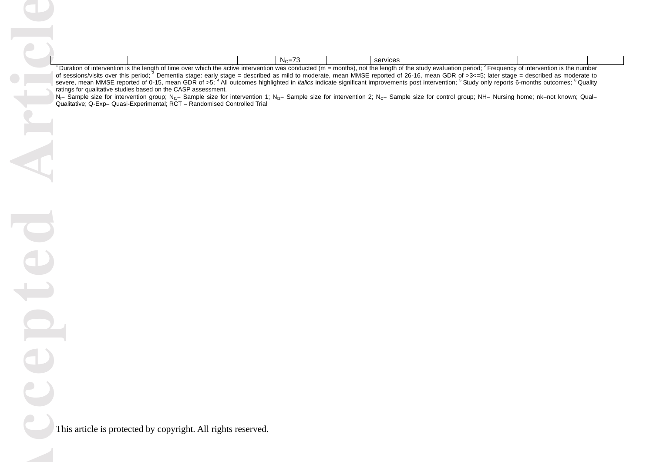|                                                                                                            |  | $\overline{\phantom{a}}$<br>- Nc |                   | services                                                 |  |
|------------------------------------------------------------------------------------------------------------|--|----------------------------------|-------------------|----------------------------------------------------------|--|
| $\Box$ Duration of interpretion in the langth of time open which the active interpretion was conducted for |  |                                  | $m \sim + h \sim$ | فبامعنتهم ممناعبيا مبيم برامبياء مطابقه والمعمول مطابقهم |  |

**Accepted Article** Duration of intervention is the length of time over which the active intervention was conducted (m = months), not the length of the study evaluation period; <sup>2</sup> Frequency of intervention is the number of sessions/visits over this period;<sup>3</sup> Dementia stage: early stage = described as mild to moderate, mean MMSE reported of 26-16, mean GDR of >3<=5; later stage = described as moderate to severe, mean MMSE reported of 0-15, mean GDR of >5;<sup>4</sup> All outcomes highlighted in *italics* indicate significant improvements post intervention; <sup>5</sup> Study only reports 6-months outcomes; <sup>6</sup> Quality ratings for qualitative studies based on the CASP assessment.

 $N_{\text{II}}$  Sample size for intervention group;  $N_{\text{II}}$  Sample size for intervention 1;  $N_{\text{II}}$  Sample size for intervention 2; N<sub>C</sub>= Sample size for control group; NH= Nursing home; nk=not known; Qual= Qualitative; Q-Exp= Quasi-Experimental; RCT = Randomised Controlled Trial

epte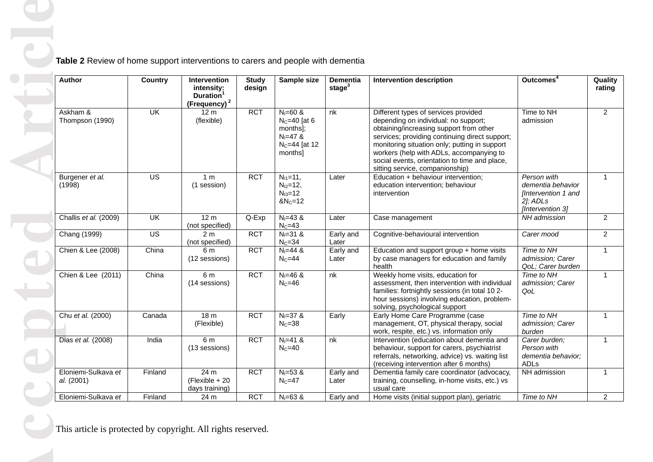| Author                            | <b>Country</b>           | Intervention<br>intensity:<br>Duration <sup>1</sup><br>(Frequency) <sup>2</sup> | <b>Study</b><br>design | Sample size                                                                                | <b>Dementia</b><br>stage $3$ | <b>Intervention description</b>                                                                                                                                                                                                                                                                                                                            | Outcomes <sup>4</sup>                                                                        | Quality<br>rating |
|-----------------------------------|--------------------------|---------------------------------------------------------------------------------|------------------------|--------------------------------------------------------------------------------------------|------------------------------|------------------------------------------------------------------------------------------------------------------------------------------------------------------------------------------------------------------------------------------------------------------------------------------------------------------------------------------------------------|----------------------------------------------------------------------------------------------|-------------------|
| Askham &<br>Thompson (1990)       | $\overline{\mathsf{U}}$  | 12 <sub>m</sub><br>(flexible)                                                   | <b>RCT</b>             | $N_1 = 60$ &<br>$N_c=40$ [at 6<br>months];<br>$N_1 = 47$ &<br>$N_C = 44$ [at 12<br>months] | nk                           | Different types of services provided<br>depending on individual: no support;<br>obtaining/increasing support from other<br>services; providing continuing direct support;<br>monitoring situation only; putting in support<br>workers (help with ADLs, accompanying to<br>social events, orientation to time and place,<br>sitting service, companionship) | Time to NH<br>admission                                                                      |                   |
| Burgener et al.<br>(1998)         | US                       | 1 <sub>m</sub><br>(1 session)                                                   | <b>RCT</b>             | $N_{11} = 11$ ,<br>$N_{12}=12$ ,<br>$N_{13} = 12$<br>$&N_C=12$                             | Later                        | Education + behaviour intervention;<br>education intervention; behaviour<br>intervention                                                                                                                                                                                                                                                                   | Person with<br>dementia behavior<br>[Intervention 1 and<br>$2$ ]; $ADLs$<br>[Intervention 3] |                   |
| Challis et al. (2009)             | $\overline{\mathsf{CK}}$ | 12 <sub>m</sub><br>(not specified)                                              | Q-Exp                  | $N_1 = 43 &$<br>$N_C = 43$                                                                 | Later                        | Case management                                                                                                                                                                                                                                                                                                                                            | NH admission                                                                                 |                   |
| Chang (1999)                      | $\overline{US}$          | 2 <sub>m</sub><br>(not specified)                                               | <b>RCT</b>             | $N_1 = 31 &$<br>$N_C = 34$                                                                 | Early and<br>Later           | Cognitive-behavioural intervention                                                                                                                                                                                                                                                                                                                         | Carer mood                                                                                   |                   |
| Chien & Lee (2008)                | China                    | 6 <sub>m</sub><br>(12 sessions)                                                 | <b>RCT</b>             | $N_1 = 44$ &<br>$N_C = 44$                                                                 | Early and<br>Later           | Education and support group + home visits<br>by case managers for education and family<br>health                                                                                                                                                                                                                                                           | Time to NH<br>admission; Carer<br>QoL; Carer burden                                          |                   |
| Chien & Lee (2011)                | China                    | 6 m<br>(14 sessions)                                                            | <b>RCT</b>             | $N_1 = 46$ &<br>$N_C = 46$                                                                 | nk                           | Weekly home visits, education for<br>assessment, then intervention with individual<br>families: fortnightly sessions (in total 10 2-<br>hour sessions) involving education, problem-<br>solving, psychological support                                                                                                                                     | Time to NH<br>admission; Carer<br>QoL                                                        |                   |
| Chu et al. (2000)                 | Canada                   | 18 <sub>m</sub><br>(Flexible)                                                   | <b>RCT</b>             | $N_1 = 37$ &<br>$N_C = 38$                                                                 | Early                        | Early Home Care Programme (case<br>management, OT, physical therapy, social<br>work, respite, etc.) vs. information only                                                                                                                                                                                                                                   | Time to NH<br>admission; Carer<br>burden                                                     |                   |
| Dias et al. (2008)                | India                    | 6 m<br>(13 sessions)                                                            | <b>RCT</b>             | $N_1 = 41$ &<br>$N_c = 40$                                                                 | nk                           | Intervention (education about dementia and<br>behaviour, support for carers, psychiatrist<br>referrals, networking, advice) vs. waiting list<br>(receiving intervention after 6 months)                                                                                                                                                                    | Carer burden;<br>Person with<br>dementia behavior;<br>ADLs                                   |                   |
| Eloniemi-Sulkava et<br>al. (2001) | Finland                  | 24 m<br>$(Fexible + 20)$<br>days training)                                      | <b>RCT</b>             | $N_1 = 53$ &<br>$N_C = 47$                                                                 | Early and<br>Later           | Dementia family care coordinator (advocacy,<br>training, counselling, in-home visits, etc.) vs<br>usual care                                                                                                                                                                                                                                               | NH admission                                                                                 |                   |
| Eloniemi-Sulkava et               | Finland                  | 24 m                                                                            | <b>RCT</b>             | $N_1 = 63$ &                                                                               | Early and                    | Home visits (initial support plan), geriatric                                                                                                                                                                                                                                                                                                              | Time to NH                                                                                   |                   |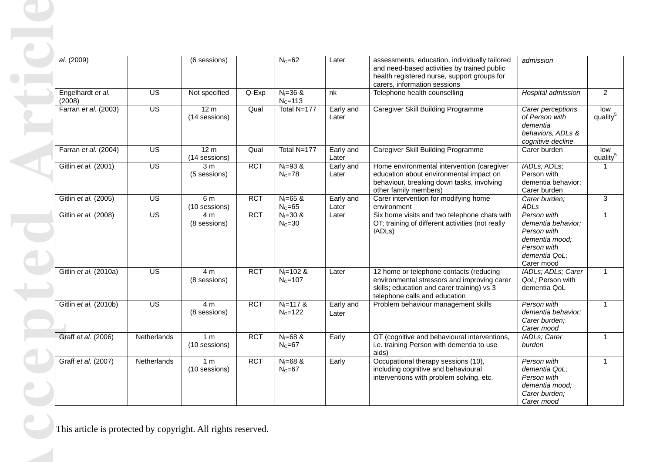| al. (2009)                  |                 | (6 sessions)                     |            | $N_C = 62$                   | Later              | assessments, education, individually tailored<br>and need-based activities by trained public<br>health registered nurse, support groups for<br>carers, information sessions | admission                                                                                                        |                      |
|-----------------------------|-----------------|----------------------------------|------------|------------------------------|--------------------|-----------------------------------------------------------------------------------------------------------------------------------------------------------------------------|------------------------------------------------------------------------------------------------------------------|----------------------|
| Engelhardt et al.<br>(2008) | US              | Not specified                    | Q-Exp      | $N_1 = 36$ &<br>$N_C = 113$  | nk                 | Telephone health counselling                                                                                                                                                | Hospital admission                                                                                               |                      |
| Farran et al. (2003)        | $\overline{US}$ | 12 <sub>m</sub><br>(14 sessions) | Qual       | Total N=177                  | Early and<br>Later | Caregiver Skill Building Programme                                                                                                                                          | Carer perceptions<br>of Person with<br>dementia<br>behaviors, ADLs &<br>cognitive decline                        | quality <sup>5</sup> |
| Farran et al. (2004)        | $\overline{US}$ | 12 <sub>m</sub><br>(14 sessions) | Qual       | Total N=177                  | Early and<br>Later | Caregiver Skill Building Programme                                                                                                                                          | Carer burden                                                                                                     | quality <sup>5</sup> |
| Gitlin et al. (2001)        | $\overline{US}$ | 3 <sub>m</sub><br>(5 sessions)   | <b>RCT</b> | $N_1 = 93 &$<br>$N_C = 78$   | Early and<br>Later | Home environmental intervention (caregiver<br>education about environmental impact on<br>behaviour, breaking down tasks, involving<br>other family members)                 | IADLs; ADLs;<br>Person with<br>dementia behavior;<br>Carer burden                                                |                      |
| Gitlin et al. (2005)        | <b>US</b>       | 6 m<br>(10 sessions)             | <b>RCT</b> | $N = 65$ &<br>$N_C = 65$     | Early and<br>Later | Carer intervention for modifying home<br>environment                                                                                                                        | Carer burden;<br>ADLs                                                                                            |                      |
| Gitlin et al. (2008)        | $\overline{US}$ | 4 <sub>m</sub><br>(8 sessions)   | <b>RCT</b> | $N_1 = 30$ &<br>$N_C = 30$   | Later              | Six home visits and two telephone chats with<br>OT; training of different activities (not really<br>IADL <sub>s</sub> )                                                     | Person with<br>dementia behavior;<br>Person with<br>dementia mood;<br>Person with<br>dementia QoL;<br>Carer mood |                      |
| Gitlin et al. (2010a)       | $\overline{US}$ | 4 <sub>m</sub><br>(8 sessions)   | <b>RCT</b> | $N_1 = 102$ &<br>$NC=107$    | Later              | 12 home or telephone contacts (reducing<br>environmental stressors and improving carer<br>skills; education and carer training) vs 3<br>telephone calls and education       | IADLs; ADLs; Carer<br>QoL; Person with<br>dementia QoL                                                           |                      |
| Gitlin et al. (2010b)       | $\overline{US}$ | 4 m<br>(8 sessions)              | <b>RCT</b> | $N_1 = 117$ &<br>$N_c = 122$ | Early and<br>Later | Problem behaviour management skills                                                                                                                                         | Person with<br>dementia behavior;<br>Carer burden;<br>Carer mood                                                 |                      |
| Graff et al. (2006)         | Netherlands     | 1 <sub>m</sub><br>(10 sessions)  | <b>RCT</b> | $N_1 = 68$ &<br>$N_C = 67$   | Early              | OT (cognitive and behavioural interventions,<br>i.e. training Person with dementia to use<br>aids)                                                                          | IADLs; Carer<br>burden                                                                                           |                      |
| Graff et al. (2007)         | Netherlands     | 1 m<br>(10 sessions)             | <b>RCT</b> | $N = 68$ &<br>$N_C = 67$     | Early              | Occupational therapy sessions (10),<br>including cognitive and behavioural<br>interventions with problem solving, etc.                                                      | Person with<br>dementia QoL;<br>Person with<br>dementia mood;<br>Carer burden;<br>Carer mood                     |                      |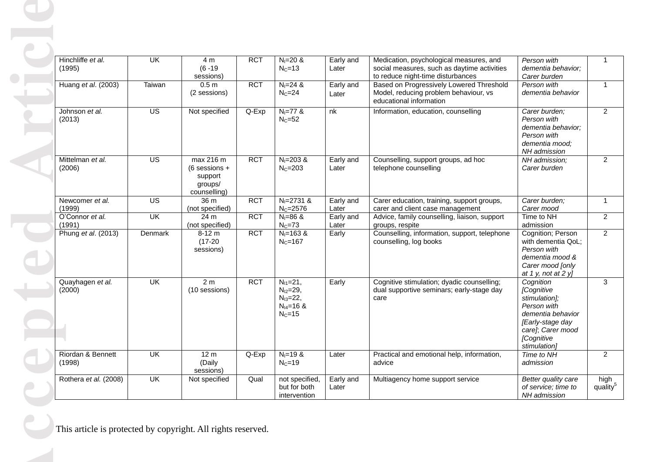| Hinchliffe et al.<br>(1995) | UK                      | 4 m<br>$(6 - 19)$<br>sessions)                                     | <b>RCT</b> | $N_1 = 20$ &<br>$N_c = 13$                                                     | Early and<br>Later | Medication, psychological measures, and<br>social measures, such as daytime activities<br>to reduce night-time disturbances | Person with<br>dementia behavior;<br>Carer burden                                                                                                   |  |
|-----------------------------|-------------------------|--------------------------------------------------------------------|------------|--------------------------------------------------------------------------------|--------------------|-----------------------------------------------------------------------------------------------------------------------------|-----------------------------------------------------------------------------------------------------------------------------------------------------|--|
| Huang et al. (2003)         | Taiwan                  | 0.5 <sub>m</sub><br>(2 sessions)                                   | <b>RCT</b> | $N_1 = 24$ &<br>$N_C = 24$                                                     | Early and<br>Later | Based on Progressively Lowered Threshold<br>Model, reducing problem behaviour, vs<br>educational information                | Person with<br>dementia behavior                                                                                                                    |  |
| Johnson et al.<br>(2013)    | $\overline{US}$         | Not specified                                                      | Q-Exp      | $N_1 = 77$ &<br>$N_C = 52$                                                     | nk                 | Information, education, counselling                                                                                         | Carer burden;<br>Person with<br>dementia behavior;<br>Person with<br>dementia mood;<br>NH admission                                                 |  |
| Mittelman et al.<br>(2006)  | $\overline{US}$         | max 216 m<br>$(6$ sessions +<br>support<br>groups/<br>counselling) | <b>RCT</b> | $N_1 = 203$ &<br>$NC=203$                                                      | Early and<br>Later | Counselling, support groups, ad hoc<br>telephone counselling                                                                | NH admission;<br>Carer burden                                                                                                                       |  |
| Newcomer et al.<br>(1999)   | $\overline{US}$         | 36 m<br>(not specified)                                            | <b>RCT</b> | $N_1 = 2731$ &<br>$N_{C} = 2576$                                               | Early and<br>Later | Carer education, training, support groups,<br>carer and client case management                                              | Carer burden;<br>Carer mood                                                                                                                         |  |
| O'Connor et al.<br>(1991)   | UK                      | 24 m<br>(not specified)                                            | <b>RCT</b> | $N_1 = 86$ &<br>$N_C = 73$                                                     | Early and<br>Later | Advice, family counselling, liaison, support<br>groups, respite                                                             | Time to NH<br>admission                                                                                                                             |  |
| Phung et al. (2013)         | Denmark                 | $8-12 m$<br>$(17-20)$<br>sessions)                                 | <b>RCT</b> | $N_1 = 163$ &<br>$N_c = 167$                                                   | Early              | Counselling, information, support, telephone<br>counselling, log books                                                      | Cognition; Person<br>with dementia QoL;<br>Person with<br>dementia mood &<br>Carer mood [only<br>at 1 y, not at 2 y]                                |  |
| Quayhagen et al.<br>(2000)  | UK                      | 2 <sub>m</sub><br>(10 sessions)                                    | <b>RCT</b> | $N_{11}=21$ ,<br>$N_{12}=29,$<br>$N_{13}=22,$<br>$N_{14} = 16$ &<br>$N_c = 15$ | Early              | Cognitive stimulation; dyadic counselling;<br>dual supportive seminars; early-stage day<br>care                             | Cognition<br>[Cognitive<br>stimulation];<br>Person with<br>dementia behavior<br>[Early-stage day<br>care]; Carer mood<br>[Cognitive<br>stimulation] |  |
| Riordan & Bennett<br>(1998) | $\overline{\mathsf{U}}$ | 12 <sub>m</sub><br>(Daily<br>sessions)                             | Q-Exp      | $N_1 = 19$ &<br>$N_C = 19$                                                     | Later              | Practical and emotional help, information,<br>advice                                                                        | Time to NH<br>admission                                                                                                                             |  |
| Rothera et al. (2008)       | $\overline{\mathsf{U}}$ | Not specified                                                      | Qual       | not specified,<br>but for both<br>intervention                                 | Early and<br>Later | Multiagency home support service                                                                                            | Better quality care<br>of service; time to<br>NH admission                                                                                          |  |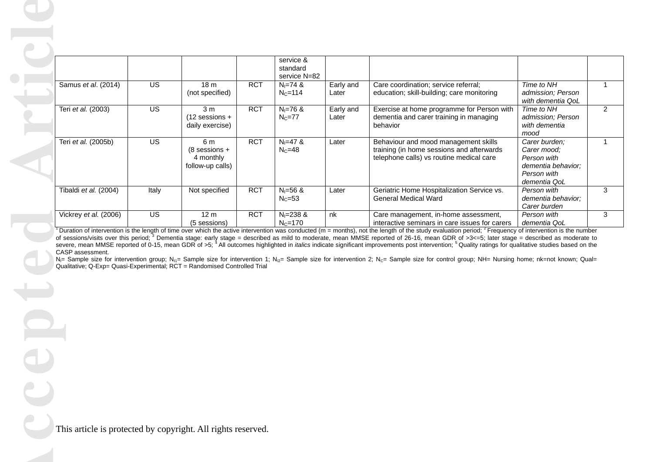|                                                                                               |                 |                                                         |            | service &<br>standard<br>service N=82 |                    |                                                                                                                                                                                                                                                                                                                                                                                                                                                                                      |                                                                                                  |                |
|-----------------------------------------------------------------------------------------------|-----------------|---------------------------------------------------------|------------|---------------------------------------|--------------------|--------------------------------------------------------------------------------------------------------------------------------------------------------------------------------------------------------------------------------------------------------------------------------------------------------------------------------------------------------------------------------------------------------------------------------------------------------------------------------------|--------------------------------------------------------------------------------------------------|----------------|
| Samus et al. (2014)                                                                           | $\overline{US}$ | 18 <sub>m</sub><br>(not specified)                      | <b>RCT</b> | $N_1 = 74$ &<br>$NC=114$              | Early and<br>Later | Care coordination; service referral;<br>education; skill-building; care monitoring                                                                                                                                                                                                                                                                                                                                                                                                   | Time to NH<br>admission; Person<br>with dementia QoL                                             | $\mathbf{1}$   |
| Teri et al. (2003)                                                                            | $\overline{US}$ | 3 <sub>m</sub><br>$(12$ sessions +<br>daily exercise)   | <b>RCT</b> | $N_1 = 76$ &<br>$N_C = 77$            | Early and<br>Later | Exercise at home programme for Person with<br>dementia and carer training in managing<br>behavior                                                                                                                                                                                                                                                                                                                                                                                    | Time to NH<br>admission; Person<br>with dementia<br>mood                                         | $\overline{2}$ |
| Teri et al. (2005b)                                                                           | $\overline{US}$ | 6 m<br>$(8$ sessions +<br>4 monthly<br>follow-up calls) | <b>RCT</b> | $N_1 = 47$ &<br>$N_C = 48$            | Later              | Behaviour and mood management skills<br>training (in home sessions and afterwards<br>telephone calls) vs routine medical care                                                                                                                                                                                                                                                                                                                                                        | Carer burden;<br>Carer mood;<br>Person with<br>dementia behavior;<br>Person with<br>dementia QoL | $\mathbf{1}$   |
| Tibaldi et al. (2004)                                                                         | Italy           | Not specified                                           | <b>RCT</b> | $N = 56$ &<br>$N_c = 53$              | Later              | Geriatric Home Hospitalization Service vs.<br><b>General Medical Ward</b>                                                                                                                                                                                                                                                                                                                                                                                                            | Person with<br>dementia behavior:<br>Carer burden                                                | 3              |
| Vickrey et al. (2006)                                                                         | $\overline{US}$ | 12 <sub>m</sub><br>(5 sessions)                         | <b>RCT</b> | $N_1 = 238$ &<br>$N_c = 170$          | nk                 | Care management, in-home assessment,<br>interactive seminars in care issues for carers                                                                                                                                                                                                                                                                                                                                                                                               | Person with<br>dementia QoL                                                                      | 3              |
| CASP assessment.<br>Qualitative; Q-Exp= Quasi-Experimental; RCT = Randomised Controlled Trial |                 |                                                         |            |                                       |                    | severe, mean MMSE reported of 0-15, mean GDR of >5; <sup>4</sup> All outcomes highlighted in <i>italics</i> indicate significant improvements post intervention; <sup>5</sup> Quality ratings for qualitative studies based on the<br>N <sub>i</sub> = Sample size for intervention group; N <sub>i1</sub> = Sample size for intervention 1; N <sub>i2</sub> = Sample size for intervention 2; N <sub>c</sub> = Sample size for control group; NH= Nursing home; nk=not known; Qual= |                                                                                                  |                |
|                                                                                               |                 |                                                         |            |                                       |                    |                                                                                                                                                                                                                                                                                                                                                                                                                                                                                      |                                                                                                  |                |
|                                                                                               |                 |                                                         |            |                                       |                    |                                                                                                                                                                                                                                                                                                                                                                                                                                                                                      |                                                                                                  |                |
| This article is protected by copyright. All rights reserved.                                  |                 |                                                         |            |                                       |                    |                                                                                                                                                                                                                                                                                                                                                                                                                                                                                      |                                                                                                  |                |
|                                                                                               |                 |                                                         |            |                                       |                    |                                                                                                                                                                                                                                                                                                                                                                                                                                                                                      |                                                                                                  |                |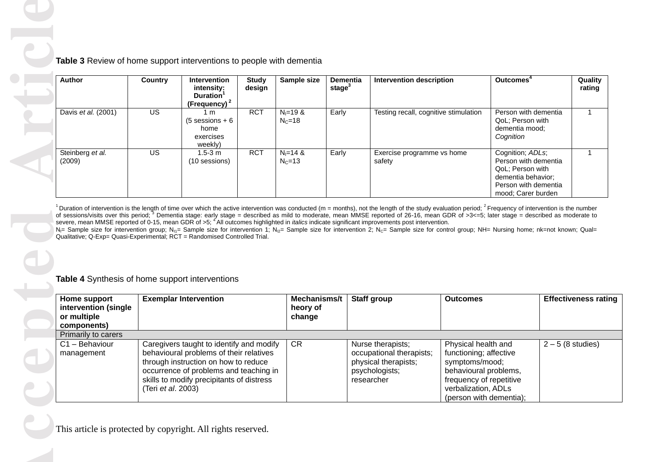| <b>Author</b>                                                                                                                                                                                                                                                                                                                                                                                                                                                                                                                                                                                                                                                                                                                                                                                                                                                                                                                                                                 | <b>Country</b>  | Intervention<br>intensity:<br>Duration <sup>1</sup><br>(Frequency) <sup>2</sup> | <b>Study</b><br>design | Sample size                        | Dementia<br>stage $3$ | <b>Intervention description</b>       |                 | Outcomes <sup>4</sup>                                                              |                                 |
|-------------------------------------------------------------------------------------------------------------------------------------------------------------------------------------------------------------------------------------------------------------------------------------------------------------------------------------------------------------------------------------------------------------------------------------------------------------------------------------------------------------------------------------------------------------------------------------------------------------------------------------------------------------------------------------------------------------------------------------------------------------------------------------------------------------------------------------------------------------------------------------------------------------------------------------------------------------------------------|-----------------|---------------------------------------------------------------------------------|------------------------|------------------------------------|-----------------------|---------------------------------------|-----------------|------------------------------------------------------------------------------------|---------------------------------|
| Davis et al. (2001)                                                                                                                                                                                                                                                                                                                                                                                                                                                                                                                                                                                                                                                                                                                                                                                                                                                                                                                                                           | $\overline{US}$ | 1 <sub>m</sub><br>$(5$ sessions + 6<br>home<br>exercises<br>weekly)             | <b>RCT</b>             | $N_1 = 19$ &<br>$N_c = 18$         | Early                 | Testing recall, cognitive stimulation |                 | Person with dementia<br>QoL; Person with<br>dementia mood;<br>Cognition            |                                 |
| Steinberg et al.<br>(2009)                                                                                                                                                                                                                                                                                                                                                                                                                                                                                                                                                                                                                                                                                                                                                                                                                                                                                                                                                    | US              | $1.5 - 3 m$<br>(10 sessions)                                                    | <b>RCT</b>             | $N_1 = 14$ &<br>$N_c = 13$         | Early                 | Exercise programme vs home<br>safety  |                 | Cognition; ADLs;<br>Person with dementia<br>QoL; Person with<br>dementia behavior; |                                 |
| <sup>1</sup> Duration of intervention is the length of time over which the active intervention was conducted (m = months), not the length of the study evaluation period; $^2$ Frequency of intervention is the number<br>of sessions/visits over this period; $3$ Dementia stage: early stage = described as mild to moderate, mean MMSE reported of 26-16, mean GDR of >3<=5; later stage = described as moderate to<br>severe, mean MMSE reported of 0-15, mean GDR of >5; <sup>4</sup> All outcomes highlighted in <i>italics</i> indicate significant improvements post intervention.<br>N <sub>i</sub> = Sample size for intervention group; N <sub>i1</sub> = Sample size for intervention 1; N <sub>i2</sub> = Sample size for intervention 2; N <sub>c</sub> = Sample size for control group; NH= Nursing home; nk=not known; Qual=<br>Qualitative; Q-Exp= Quasi-Experimental; RCT = Randomised Controlled Trial.<br>Table 4 Synthesis of home support interventions |                 |                                                                                 |                        |                                    |                       |                                       |                 | Person with dementia<br>mood; Carer burden                                         |                                 |
| Home support<br>intervention (single<br>or multiple                                                                                                                                                                                                                                                                                                                                                                                                                                                                                                                                                                                                                                                                                                                                                                                                                                                                                                                           |                 | <b>Exemplar Intervention</b>                                                    |                        | Mechanisms/t<br>heory of<br>change |                       | Staff group                           | <b>Outcomes</b> |                                                                                    | <b>Effectiveness rationally</b> |
| components)<br>Primarily to carers                                                                                                                                                                                                                                                                                                                                                                                                                                                                                                                                                                                                                                                                                                                                                                                                                                                                                                                                            |                 |                                                                                 |                        |                                    |                       |                                       |                 |                                                                                    |                                 |

| Home support<br>intervention (single<br>or multiple<br>components) | <b>Exemplar Intervention</b>                                                                                                                                                                                                             | Mechanisms/t<br>heory of<br>change | <b>Staff group</b>                                                                                    | <b>Outcomes</b>                                                                                                                                                       | <b>Effectiveness rating</b> |
|--------------------------------------------------------------------|------------------------------------------------------------------------------------------------------------------------------------------------------------------------------------------------------------------------------------------|------------------------------------|-------------------------------------------------------------------------------------------------------|-----------------------------------------------------------------------------------------------------------------------------------------------------------------------|-----------------------------|
| Primarily to carers                                                |                                                                                                                                                                                                                                          |                                    |                                                                                                       |                                                                                                                                                                       |                             |
| C1 - Behaviour<br>management                                       | Caregivers taught to identify and modify<br>behavioural problems of their relatives<br>through instruction on how to reduce<br>occurrence of problems and teaching in<br>skills to modify precipitants of distress<br>(Teri et al. 2003) | <b>CR</b>                          | Nurse therapists;<br>occupational therapists;<br>physical therapists;<br>psychologists;<br>researcher | Physical health and<br>functioning; affective<br>symptoms/mood;<br>behavioural problems,<br>frequency of repetitive<br>verbalization, ADLs<br>(person with dementia); | $2-5$ (8 studies)           |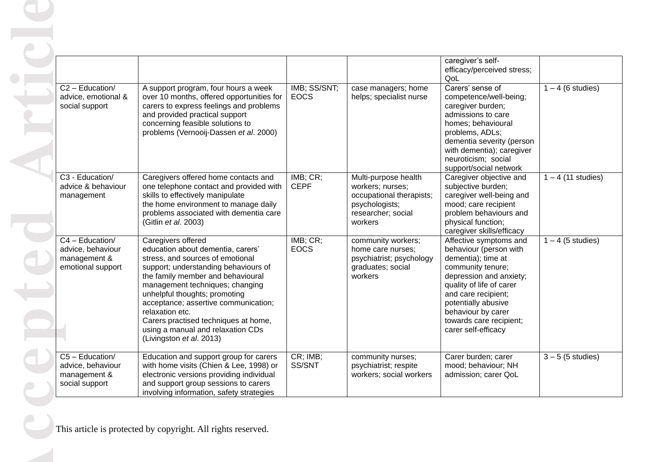|                                                                           |                                                                                                                                                                                                                                                                                                                                                                                                                  |                             |                                                                                                                         | caregiver's self-<br>efficacy/perceived stress;<br>QoL                                                                                                                                                                                                                   |                      |
|---------------------------------------------------------------------------|------------------------------------------------------------------------------------------------------------------------------------------------------------------------------------------------------------------------------------------------------------------------------------------------------------------------------------------------------------------------------------------------------------------|-----------------------------|-------------------------------------------------------------------------------------------------------------------------|--------------------------------------------------------------------------------------------------------------------------------------------------------------------------------------------------------------------------------------------------------------------------|----------------------|
| C2 - Education/<br>advice, emotional &<br>social support                  | A support program, four hours a week<br>over 10 months, offered opportunities for<br>carers to express feelings and problems<br>and provided practical support<br>concerning feasible solutions to<br>problems (Vernooij-Dassen et al. 2000)                                                                                                                                                                     | IMB; SS/SNT;<br><b>EOCS</b> | case managers; home<br>helps; specialist nurse                                                                          | Carers' sense of<br>competence/well-being;<br>caregiver burden;<br>admissions to care<br>homes; behavioural<br>problems, ADLs;<br>dementia severity (person<br>with dementia); caregiver<br>neuroticism; social<br>support/social network                                | $1 - 4$ (6 studies)  |
| C3 - Education/<br>advice & behaviour<br>management                       | Caregivers offered home contacts and<br>one telephone contact and provided with<br>skills to effectively manipulate<br>the home environment to manage daily<br>problems associated with dementia care<br>(Gitlin et al. 2003)                                                                                                                                                                                    | IMB; CR;<br><b>CEPF</b>     | Multi-purpose health<br>workers; nurses;<br>occupational therapists;<br>psychologists;<br>researcher; social<br>workers | Caregiver objective and<br>subjective burden;<br>caregiver well-being and<br>mood; care recipient<br>problem behaviours and<br>physical function;<br>caregiver skills/efficacy                                                                                           | $1 - 4$ (11 studies) |
| C4 - Education/<br>advice, behaviour<br>management &<br>emotional support | Caregivers offered<br>education about dementia, carers'<br>stress, and sources of emotional<br>support; understanding behaviours of<br>the family member and behavioural<br>management techniques; changing<br>unhelpful thoughts; promoting<br>acceptance; assertive communication;<br>relaxation etc.<br>Carers practised techniques at home,<br>using a manual and relaxation CDs<br>(Livingston et al. 2013) | IMB; CR;<br><b>EOCS</b>     | community workers;<br>home care nurses;<br>psychiatrist; psychology<br>graduates; social<br>workers                     | Affective symptoms and<br>behaviour (person with<br>dementia); time at<br>community tenure;<br>depression and anxiety;<br>quality of life of carer<br>and care recipient;<br>potentially abusive<br>behaviour by carer<br>towards care recipient;<br>carer self-efficacy | $1 - 4$ (5 studies)  |
| C5 - Education/<br>advice, behaviour<br>management &<br>social support    | Education and support group for carers<br>with home visits (Chien & Lee, 1998) or<br>electronic versions providing individual<br>and support group sessions to carers<br>involving information, safety strategies                                                                                                                                                                                                | CR; IMB;<br>SS/SNT          | community nurses;<br>psychiatrist; respite<br>workers; social workers                                                   | Carer burden; carer<br>mood; behaviour; NH<br>admission; carer QoL                                                                                                                                                                                                       | $3 - 5$ (5 studies)  |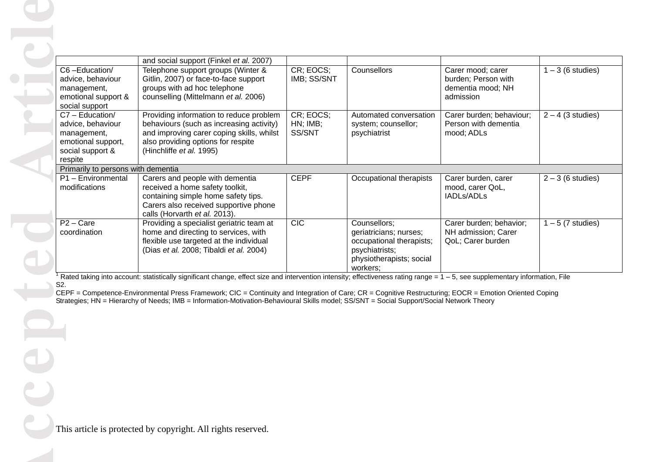|                                                                                                          | and social support (Finkel et al. 2007)                                                                                                                                                                                                                                                                                                                                                                                                                                                 |                                       |                                                                                                                              |                                                                            |                     |
|----------------------------------------------------------------------------------------------------------|-----------------------------------------------------------------------------------------------------------------------------------------------------------------------------------------------------------------------------------------------------------------------------------------------------------------------------------------------------------------------------------------------------------------------------------------------------------------------------------------|---------------------------------------|------------------------------------------------------------------------------------------------------------------------------|----------------------------------------------------------------------------|---------------------|
| C6-Education/<br>advice, behaviour<br>management,<br>emotional support &<br>social support               | Telephone support groups (Winter &<br>Gitlin, 2007) or face-to-face support<br>groups with ad hoc telephone<br>counselling (Mittelmann et al. 2006)                                                                                                                                                                                                                                                                                                                                     | CR; EOCS;<br>IMB; SS/SNT              | Counsellors                                                                                                                  | Carer mood; carer<br>burden; Person with<br>dementia mood; NH<br>admission | $1 - 3$ (6 studies) |
| C7 - Education/<br>advice, behaviour<br>management,<br>emotional support,<br>social support &<br>respite | Providing information to reduce problem<br>behaviours (such as increasing activity)<br>and improving carer coping skills, whilst<br>also providing options for respite<br>(Hinchliffe et al. 1995)                                                                                                                                                                                                                                                                                      | CR; EOCS;<br>$HN$ ; $IMB$ ;<br>SS/SNT | Automated conversation<br>system; counsellor;<br>psychiatrist                                                                | Carer burden; behaviour;<br>Person with dementia<br>mood; ADLs             | $2 - 4$ (3 studies) |
| Primarily to persons with dementia                                                                       |                                                                                                                                                                                                                                                                                                                                                                                                                                                                                         |                                       |                                                                                                                              |                                                                            |                     |
| P1 - Environmental<br>modifications                                                                      | Carers and people with dementia<br>received a home safety toolkit,<br>containing simple home safety tips.<br>Carers also received supportive phone<br>calls (Horvarth et al. 2013).                                                                                                                                                                                                                                                                                                     | <b>CEPF</b>                           | Occupational therapists                                                                                                      | Carer burden, carer<br>mood, carer QoL,<br>IADLs/ADLs                      | $2 - 3$ (6 studies) |
| $P2 - Care$<br>coordination                                                                              | Providing a specialist geriatric team at<br>home and directing to services, with<br>flexible use targeted at the individual<br>(Dias et al. 2008; Tibaldi et al. 2004)                                                                                                                                                                                                                                                                                                                  | <b>CIC</b>                            | Counsellors;<br>geriatricians; nurses;<br>occupational therapists;<br>psychiatrists;<br>physiotherapists; social<br>workers; | Carer burden; behavior;<br>NH admission; Carer<br>QoL; Carer burden        | $1 - 5$ (7 studies) |
| S <sub>2</sub> .                                                                                         | Rated taking into account: statistically significant change, effect size and intervention intensity; effectiveness rating range = $1 - 5$ , see supplementary information, File<br>CEPF = Competence-Environmental Press Framework; CIC = Continuity and Integration of Care; CR = Cognitive Restructuring; EOCR = Emotion Oriented Coping<br>Strategies; HN = Hierarchy of Needs; IMB = Information-Motivation-Behavioural Skills model; SS/SNT = Social Support/Social Network Theory |                                       |                                                                                                                              |                                                                            |                     |
|                                                                                                          |                                                                                                                                                                                                                                                                                                                                                                                                                                                                                         |                                       |                                                                                                                              |                                                                            |                     |
|                                                                                                          | This article is protected by copyright. All rights reserved.                                                                                                                                                                                                                                                                                                                                                                                                                            |                                       |                                                                                                                              |                                                                            |                     |
|                                                                                                          |                                                                                                                                                                                                                                                                                                                                                                                                                                                                                         |                                       |                                                                                                                              |                                                                            |                     |